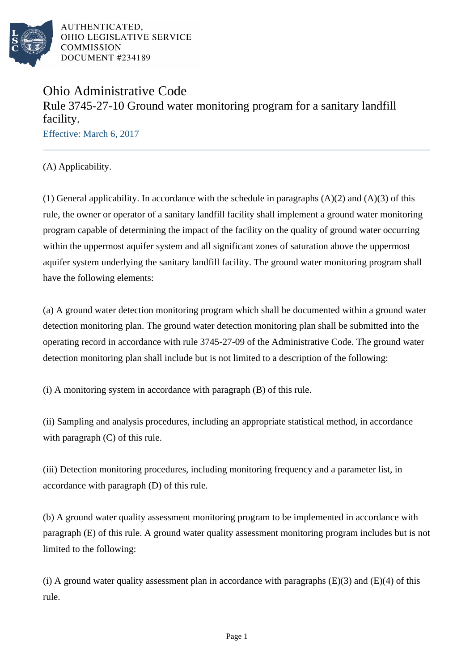

# Ohio Administrative Code Rule 3745-27-10 Ground water monitoring program for a sanitary landfill facility.

Effective: March 6, 2017

(A) Applicability.

(1) General applicability. In accordance with the schedule in paragraphs  $(A)(2)$  and  $(A)(3)$  of this rule, the owner or operator of a sanitary landfill facility shall implement a ground water monitoring program capable of determining the impact of the facility on the quality of ground water occurring within the uppermost aquifer system and all significant zones of saturation above the uppermost aquifer system underlying the sanitary landfill facility. The ground water monitoring program shall have the following elements:

(a) A ground water detection monitoring program which shall be documented within a ground water detection monitoring plan. The ground water detection monitoring plan shall be submitted into the operating record in accordance with rule 3745-27-09 of the Administrative Code. The ground water detection monitoring plan shall include but is not limited to a description of the following:

(i) A monitoring system in accordance with paragraph (B) of this rule.

(ii) Sampling and analysis procedures, including an appropriate statistical method, in accordance with paragraph (C) of this rule.

(iii) Detection monitoring procedures, including monitoring frequency and a parameter list, in accordance with paragraph (D) of this rule.

(b) A ground water quality assessment monitoring program to be implemented in accordance with paragraph (E) of this rule. A ground water quality assessment monitoring program includes but is not limited to the following:

(i) A ground water quality assessment plan in accordance with paragraphs  $(E)(3)$  and  $(E)(4)$  of this rule.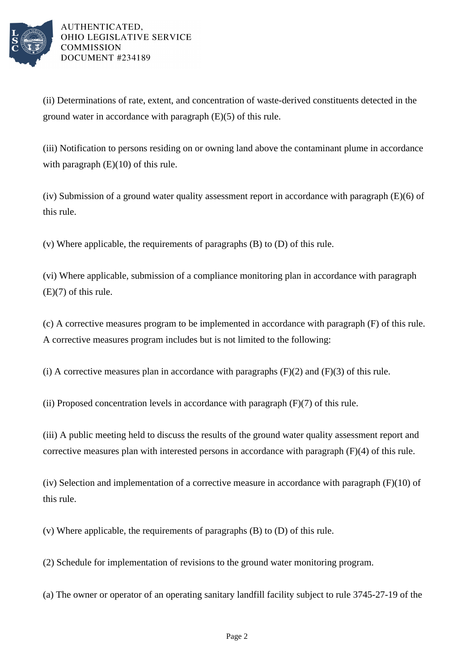

(ii) Determinations of rate, extent, and concentration of waste-derived constituents detected in the ground water in accordance with paragraph (E)(5) of this rule.

(iii) Notification to persons residing on or owning land above the contaminant plume in accordance with paragraph  $(E)(10)$  of this rule.

(iv) Submission of a ground water quality assessment report in accordance with paragraph (E)(6) of this rule.

(v) Where applicable, the requirements of paragraphs (B) to (D) of this rule.

(vi) Where applicable, submission of a compliance monitoring plan in accordance with paragraph (E)(7) of this rule.

(c) A corrective measures program to be implemented in accordance with paragraph (F) of this rule. A corrective measures program includes but is not limited to the following:

(i) A corrective measures plan in accordance with paragraphs  $(F)(2)$  and  $(F)(3)$  of this rule.

(ii) Proposed concentration levels in accordance with paragraph  $(F)(7)$  of this rule.

(iii) A public meeting held to discuss the results of the ground water quality assessment report and corrective measures plan with interested persons in accordance with paragraph (F)(4) of this rule.

(iv) Selection and implementation of a corrective measure in accordance with paragraph (F)(10) of this rule.

(v) Where applicable, the requirements of paragraphs (B) to (D) of this rule.

(2) Schedule for implementation of revisions to the ground water monitoring program.

(a) The owner or operator of an operating sanitary landfill facility subject to rule 3745-27-19 of the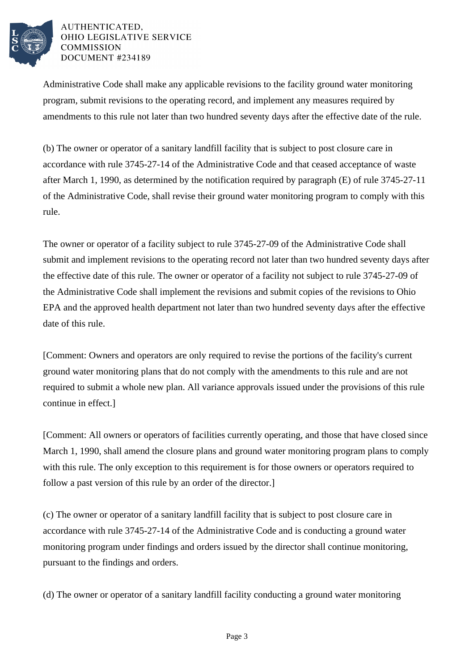

Administrative Code shall make any applicable revisions to the facility ground water monitoring program, submit revisions to the operating record, and implement any measures required by amendments to this rule not later than two hundred seventy days after the effective date of the rule.

(b) The owner or operator of a sanitary landfill facility that is subject to post closure care in accordance with rule 3745-27-14 of the Administrative Code and that ceased acceptance of waste after March 1, 1990, as determined by the notification required by paragraph (E) of rule 3745-27-11 of the Administrative Code, shall revise their ground water monitoring program to comply with this rule.

The owner or operator of a facility subject to rule 3745-27-09 of the Administrative Code shall submit and implement revisions to the operating record not later than two hundred seventy days after the effective date of this rule. The owner or operator of a facility not subject to rule 3745-27-09 of the Administrative Code shall implement the revisions and submit copies of the revisions to Ohio EPA and the approved health department not later than two hundred seventy days after the effective date of this rule.

[Comment: Owners and operators are only required to revise the portions of the facility's current ground water monitoring plans that do not comply with the amendments to this rule and are not required to submit a whole new plan. All variance approvals issued under the provisions of this rule continue in effect.]

[Comment: All owners or operators of facilities currently operating, and those that have closed since March 1, 1990, shall amend the closure plans and ground water monitoring program plans to comply with this rule. The only exception to this requirement is for those owners or operators required to follow a past version of this rule by an order of the director.]

(c) The owner or operator of a sanitary landfill facility that is subject to post closure care in accordance with rule 3745-27-14 of the Administrative Code and is conducting a ground water monitoring program under findings and orders issued by the director shall continue monitoring, pursuant to the findings and orders.

(d) The owner or operator of a sanitary landfill facility conducting a ground water monitoring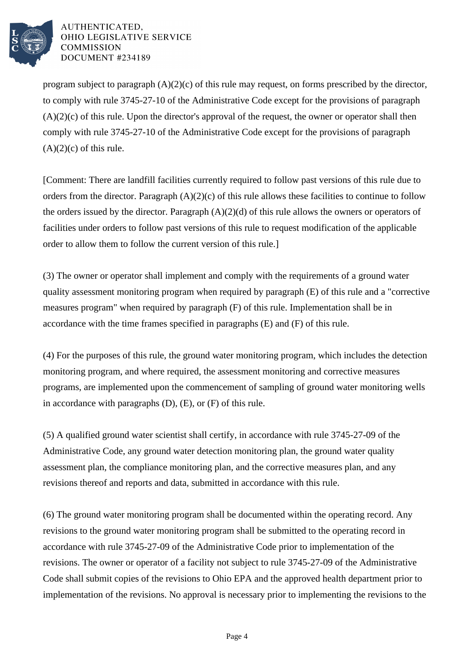

program subject to paragraph  $(A)(2)(c)$  of this rule may request, on forms prescribed by the director, to comply with rule 3745-27-10 of the Administrative Code except for the provisions of paragraph  $(A)(2)(c)$  of this rule. Upon the director's approval of the request, the owner or operator shall then comply with rule 3745-27-10 of the Administrative Code except for the provisions of paragraph  $(A)(2)(c)$  of this rule.

[Comment: There are landfill facilities currently required to follow past versions of this rule due to orders from the director. Paragraph (A)(2)(c) of this rule allows these facilities to continue to follow the orders issued by the director. Paragraph (A)(2)(d) of this rule allows the owners or operators of facilities under orders to follow past versions of this rule to request modification of the applicable order to allow them to follow the current version of this rule.]

(3) The owner or operator shall implement and comply with the requirements of a ground water quality assessment monitoring program when required by paragraph (E) of this rule and a "corrective measures program" when required by paragraph (F) of this rule. Implementation shall be in accordance with the time frames specified in paragraphs (E) and (F) of this rule.

(4) For the purposes of this rule, the ground water monitoring program, which includes the detection monitoring program, and where required, the assessment monitoring and corrective measures programs, are implemented upon the commencement of sampling of ground water monitoring wells in accordance with paragraphs (D), (E), or (F) of this rule.

(5) A qualified ground water scientist shall certify, in accordance with rule 3745-27-09 of the Administrative Code, any ground water detection monitoring plan, the ground water quality assessment plan, the compliance monitoring plan, and the corrective measures plan, and any revisions thereof and reports and data, submitted in accordance with this rule.

(6) The ground water monitoring program shall be documented within the operating record. Any revisions to the ground water monitoring program shall be submitted to the operating record in accordance with rule 3745-27-09 of the Administrative Code prior to implementation of the revisions. The owner or operator of a facility not subject to rule 3745-27-09 of the Administrative Code shall submit copies of the revisions to Ohio EPA and the approved health department prior to implementation of the revisions. No approval is necessary prior to implementing the revisions to the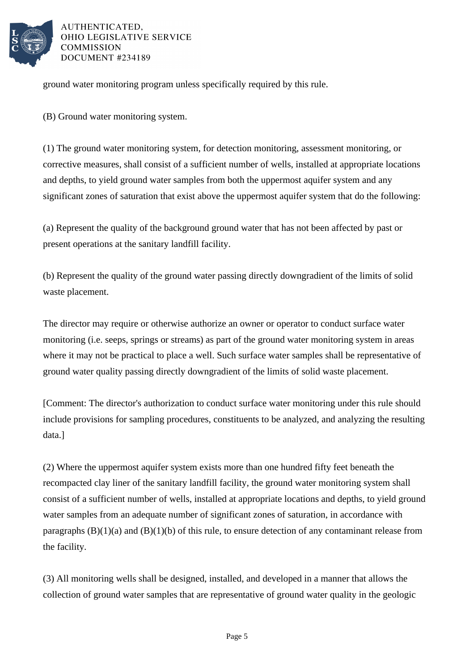

ground water monitoring program unless specifically required by this rule.

(B) Ground water monitoring system.

(1) The ground water monitoring system, for detection monitoring, assessment monitoring, or corrective measures, shall consist of a sufficient number of wells, installed at appropriate locations and depths, to yield ground water samples from both the uppermost aquifer system and any significant zones of saturation that exist above the uppermost aquifer system that do the following:

(a) Represent the quality of the background ground water that has not been affected by past or present operations at the sanitary landfill facility.

(b) Represent the quality of the ground water passing directly downgradient of the limits of solid waste placement.

The director may require or otherwise authorize an owner or operator to conduct surface water monitoring (i.e. seeps, springs or streams) as part of the ground water monitoring system in areas where it may not be practical to place a well. Such surface water samples shall be representative of ground water quality passing directly downgradient of the limits of solid waste placement.

[Comment: The director's authorization to conduct surface water monitoring under this rule should include provisions for sampling procedures, constituents to be analyzed, and analyzing the resulting data.]

(2) Where the uppermost aquifer system exists more than one hundred fifty feet beneath the recompacted clay liner of the sanitary landfill facility, the ground water monitoring system shall consist of a sufficient number of wells, installed at appropriate locations and depths, to yield ground water samples from an adequate number of significant zones of saturation, in accordance with paragraphs  $(B)(1)(a)$  and  $(B)(1)(b)$  of this rule, to ensure detection of any contaminant release from the facility.

(3) All monitoring wells shall be designed, installed, and developed in a manner that allows the collection of ground water samples that are representative of ground water quality in the geologic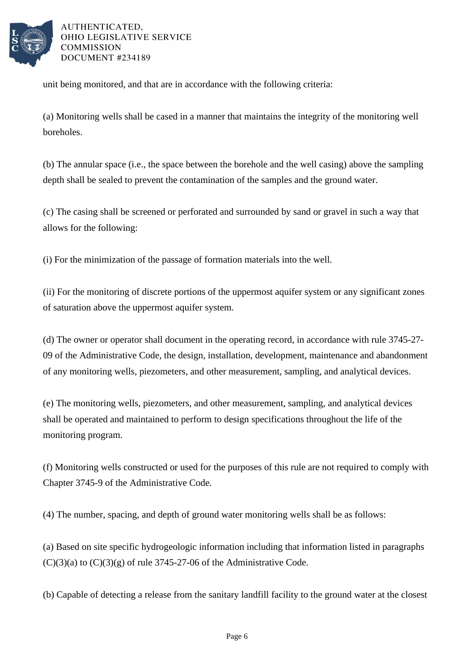

unit being monitored, and that are in accordance with the following criteria:

(a) Monitoring wells shall be cased in a manner that maintains the integrity of the monitoring well boreholes.

(b) The annular space (i.e., the space between the borehole and the well casing) above the sampling depth shall be sealed to prevent the contamination of the samples and the ground water.

(c) The casing shall be screened or perforated and surrounded by sand or gravel in such a way that allows for the following:

(i) For the minimization of the passage of formation materials into the well.

(ii) For the monitoring of discrete portions of the uppermost aquifer system or any significant zones of saturation above the uppermost aquifer system.

(d) The owner or operator shall document in the operating record, in accordance with rule 3745-27- 09 of the Administrative Code, the design, installation, development, maintenance and abandonment of any monitoring wells, piezometers, and other measurement, sampling, and analytical devices.

(e) The monitoring wells, piezometers, and other measurement, sampling, and analytical devices shall be operated and maintained to perform to design specifications throughout the life of the monitoring program.

(f) Monitoring wells constructed or used for the purposes of this rule are not required to comply with Chapter 3745-9 of the Administrative Code.

(4) The number, spacing, and depth of ground water monitoring wells shall be as follows:

(a) Based on site specific hydrogeologic information including that information listed in paragraphs  $(C)(3)(a)$  to  $(C)(3)(g)$  of rule 3745-27-06 of the Administrative Code.

(b) Capable of detecting a release from the sanitary landfill facility to the ground water at the closest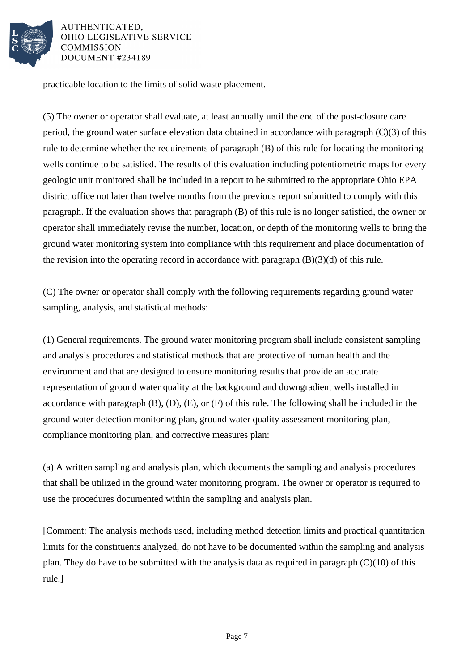

practicable location to the limits of solid waste placement.

(5) The owner or operator shall evaluate, at least annually until the end of the post-closure care period, the ground water surface elevation data obtained in accordance with paragraph (C)(3) of this rule to determine whether the requirements of paragraph (B) of this rule for locating the monitoring wells continue to be satisfied. The results of this evaluation including potentiometric maps for every geologic unit monitored shall be included in a report to be submitted to the appropriate Ohio EPA district office not later than twelve months from the previous report submitted to comply with this paragraph. If the evaluation shows that paragraph (B) of this rule is no longer satisfied, the owner or operator shall immediately revise the number, location, or depth of the monitoring wells to bring the ground water monitoring system into compliance with this requirement and place documentation of the revision into the operating record in accordance with paragraph  $(B)(3)(d)$  of this rule.

(C) The owner or operator shall comply with the following requirements regarding ground water sampling, analysis, and statistical methods:

(1) General requirements. The ground water monitoring program shall include consistent sampling and analysis procedures and statistical methods that are protective of human health and the environment and that are designed to ensure monitoring results that provide an accurate representation of ground water quality at the background and downgradient wells installed in accordance with paragraph (B), (D), (E), or (F) of this rule. The following shall be included in the ground water detection monitoring plan, ground water quality assessment monitoring plan, compliance monitoring plan, and corrective measures plan:

(a) A written sampling and analysis plan, which documents the sampling and analysis procedures that shall be utilized in the ground water monitoring program. The owner or operator is required to use the procedures documented within the sampling and analysis plan.

[Comment: The analysis methods used, including method detection limits and practical quantitation limits for the constituents analyzed, do not have to be documented within the sampling and analysis plan. They do have to be submitted with the analysis data as required in paragraph  $(C)(10)$  of this rule.]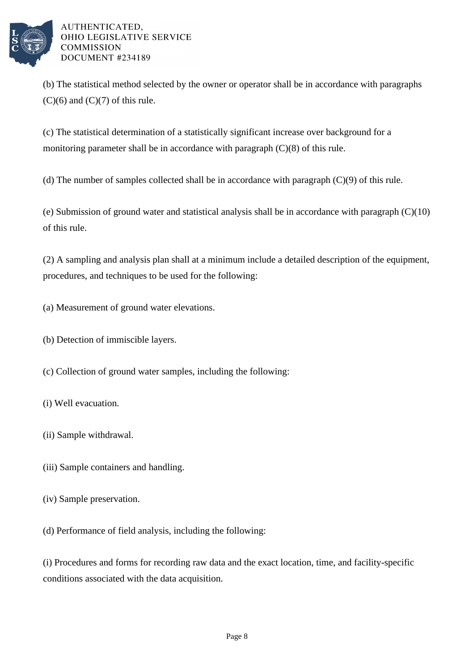

(b) The statistical method selected by the owner or operator shall be in accordance with paragraphs  $(C)(6)$  and  $(C)(7)$  of this rule.

(c) The statistical determination of a statistically significant increase over background for a monitoring parameter shall be in accordance with paragraph (C)(8) of this rule.

(d) The number of samples collected shall be in accordance with paragraph (C)(9) of this rule.

(e) Submission of ground water and statistical analysis shall be in accordance with paragraph (C)(10) of this rule.

(2) A sampling and analysis plan shall at a minimum include a detailed description of the equipment, procedures, and techniques to be used for the following:

(a) Measurement of ground water elevations.

(b) Detection of immiscible layers.

(c) Collection of ground water samples, including the following:

- (i) Well evacuation.
- (ii) Sample withdrawal.
- (iii) Sample containers and handling.
- (iv) Sample preservation.

(d) Performance of field analysis, including the following:

(i) Procedures and forms for recording raw data and the exact location, time, and facility-specific conditions associated with the data acquisition.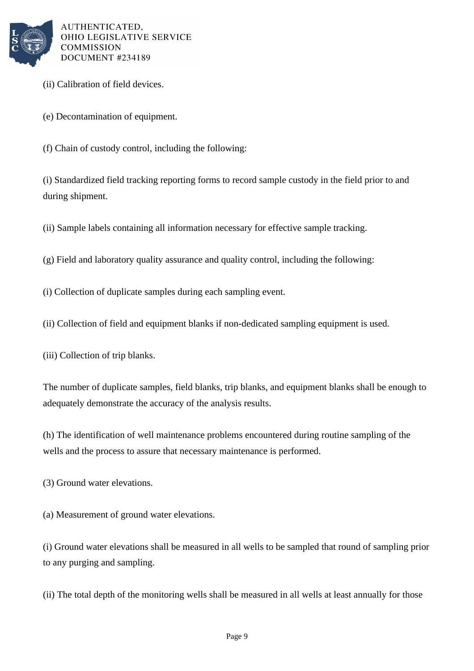

- (ii) Calibration of field devices.
- (e) Decontamination of equipment.
- (f) Chain of custody control, including the following:

(i) Standardized field tracking reporting forms to record sample custody in the field prior to and during shipment.

- (ii) Sample labels containing all information necessary for effective sample tracking.
- (g) Field and laboratory quality assurance and quality control, including the following:
- (i) Collection of duplicate samples during each sampling event.
- (ii) Collection of field and equipment blanks if non-dedicated sampling equipment is used.
- (iii) Collection of trip blanks.

The number of duplicate samples, field blanks, trip blanks, and equipment blanks shall be enough to adequately demonstrate the accuracy of the analysis results.

(h) The identification of well maintenance problems encountered during routine sampling of the wells and the process to assure that necessary maintenance is performed.

- (3) Ground water elevations.
- (a) Measurement of ground water elevations.

(i) Ground water elevations shall be measured in all wells to be sampled that round of sampling prior to any purging and sampling.

(ii) The total depth of the monitoring wells shall be measured in all wells at least annually for those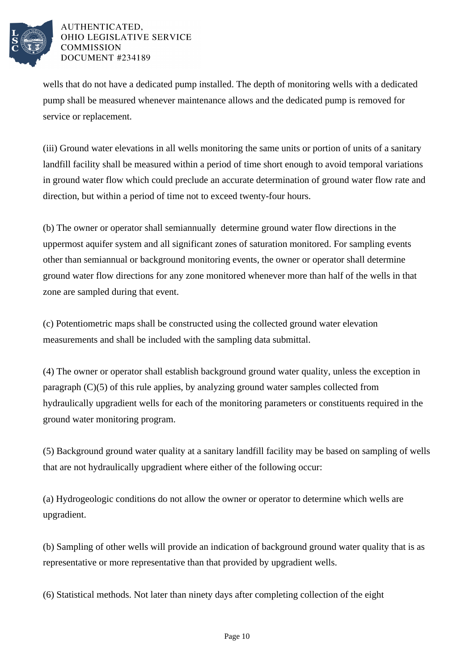

wells that do not have a dedicated pump installed. The depth of monitoring wells with a dedicated pump shall be measured whenever maintenance allows and the dedicated pump is removed for service or replacement.

(iii) Ground water elevations in all wells monitoring the same units or portion of units of a sanitary landfill facility shall be measured within a period of time short enough to avoid temporal variations in ground water flow which could preclude an accurate determination of ground water flow rate and direction, but within a period of time not to exceed twenty-four hours.

(b) The owner or operator shall semiannually determine ground water flow directions in the uppermost aquifer system and all significant zones of saturation monitored. For sampling events other than semiannual or background monitoring events, the owner or operator shall determine ground water flow directions for any zone monitored whenever more than half of the wells in that zone are sampled during that event.

(c) Potentiometric maps shall be constructed using the collected ground water elevation measurements and shall be included with the sampling data submittal.

(4) The owner or operator shall establish background ground water quality, unless the exception in paragraph (C)(5) of this rule applies, by analyzing ground water samples collected from hydraulically upgradient wells for each of the monitoring parameters or constituents required in the ground water monitoring program.

(5) Background ground water quality at a sanitary landfill facility may be based on sampling of wells that are not hydraulically upgradient where either of the following occur:

(a) Hydrogeologic conditions do not allow the owner or operator to determine which wells are upgradient.

(b) Sampling of other wells will provide an indication of background ground water quality that is as representative or more representative than that provided by upgradient wells.

(6) Statistical methods. Not later than ninety days after completing collection of the eight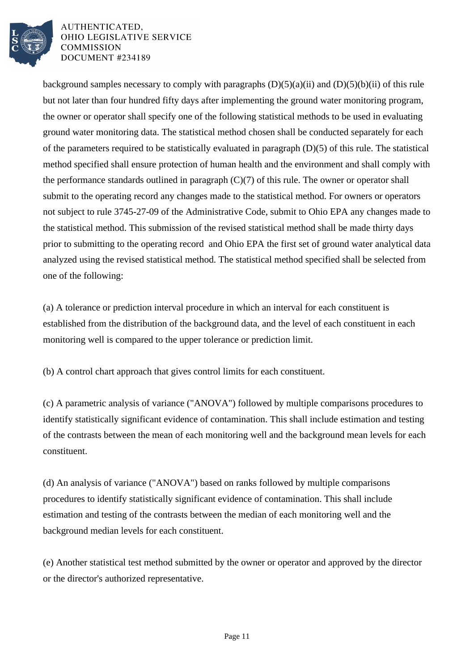

background samples necessary to comply with paragraphs  $(D)(5)(a)(ii)$  and  $(D)(5)(b)(ii)$  of this rule but not later than four hundred fifty days after implementing the ground water monitoring program, the owner or operator shall specify one of the following statistical methods to be used in evaluating ground water monitoring data. The statistical method chosen shall be conducted separately for each of the parameters required to be statistically evaluated in paragraph (D)(5) of this rule. The statistical method specified shall ensure protection of human health and the environment and shall comply with the performance standards outlined in paragraph (C)(7) of this rule. The owner or operator shall submit to the operating record any changes made to the statistical method. For owners or operators not subject to rule 3745-27-09 of the Administrative Code, submit to Ohio EPA any changes made to the statistical method. This submission of the revised statistical method shall be made thirty days prior to submitting to the operating record and Ohio EPA the first set of ground water analytical data analyzed using the revised statistical method. The statistical method specified shall be selected from one of the following:

(a) A tolerance or prediction interval procedure in which an interval for each constituent is established from the distribution of the background data, and the level of each constituent in each monitoring well is compared to the upper tolerance or prediction limit.

(b) A control chart approach that gives control limits for each constituent.

(c) A parametric analysis of variance ("ANOVA") followed by multiple comparisons procedures to identify statistically significant evidence of contamination. This shall include estimation and testing of the contrasts between the mean of each monitoring well and the background mean levels for each constituent.

(d) An analysis of variance ("ANOVA") based on ranks followed by multiple comparisons procedures to identify statistically significant evidence of contamination. This shall include estimation and testing of the contrasts between the median of each monitoring well and the background median levels for each constituent.

(e) Another statistical test method submitted by the owner or operator and approved by the director or the director's authorized representative.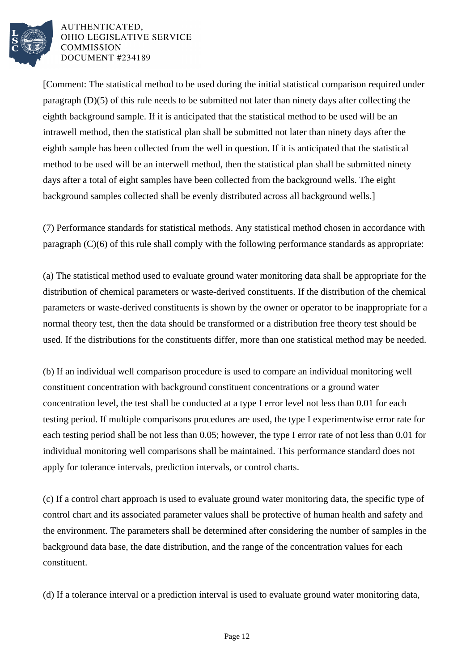

[Comment: The statistical method to be used during the initial statistical comparison required under paragraph (D)(5) of this rule needs to be submitted not later than ninety days after collecting the eighth background sample. If it is anticipated that the statistical method to be used will be an intrawell method, then the statistical plan shall be submitted not later than ninety days after the eighth sample has been collected from the well in question. If it is anticipated that the statistical method to be used will be an interwell method, then the statistical plan shall be submitted ninety days after a total of eight samples have been collected from the background wells. The eight background samples collected shall be evenly distributed across all background wells.]

(7) Performance standards for statistical methods. Any statistical method chosen in accordance with paragraph (C)(6) of this rule shall comply with the following performance standards as appropriate:

(a) The statistical method used to evaluate ground water monitoring data shall be appropriate for the distribution of chemical parameters or waste-derived constituents. If the distribution of the chemical parameters or waste-derived constituents is shown by the owner or operator to be inappropriate for a normal theory test, then the data should be transformed or a distribution free theory test should be used. If the distributions for the constituents differ, more than one statistical method may be needed.

(b) If an individual well comparison procedure is used to compare an individual monitoring well constituent concentration with background constituent concentrations or a ground water concentration level, the test shall be conducted at a type I error level not less than 0.01 for each testing period. If multiple comparisons procedures are used, the type I experimentwise error rate for each testing period shall be not less than 0.05; however, the type I error rate of not less than 0.01 for individual monitoring well comparisons shall be maintained. This performance standard does not apply for tolerance intervals, prediction intervals, or control charts.

(c) If a control chart approach is used to evaluate ground water monitoring data, the specific type of control chart and its associated parameter values shall be protective of human health and safety and the environment. The parameters shall be determined after considering the number of samples in the background data base, the date distribution, and the range of the concentration values for each constituent.

(d) If a tolerance interval or a prediction interval is used to evaluate ground water monitoring data,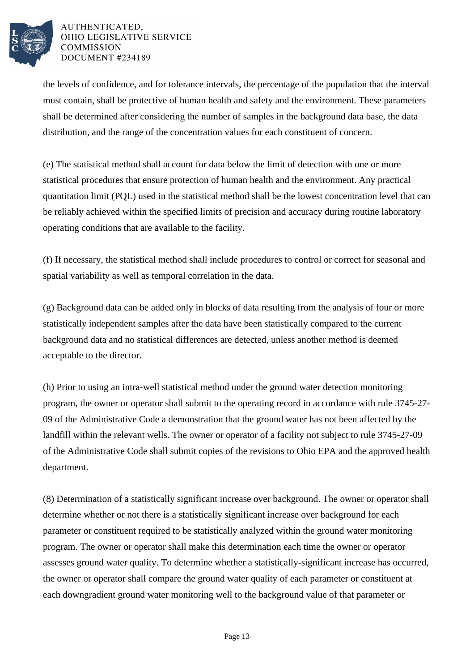

the levels of confidence, and for tolerance intervals, the percentage of the population that the interval must contain, shall be protective of human health and safety and the environment. These parameters shall be determined after considering the number of samples in the background data base, the data distribution, and the range of the concentration values for each constituent of concern.

(e) The statistical method shall account for data below the limit of detection with one or more statistical procedures that ensure protection of human health and the environment. Any practical quantitation limit (PQL) used in the statistical method shall be the lowest concentration level that can be reliably achieved within the specified limits of precision and accuracy during routine laboratory operating conditions that are available to the facility.

(f) If necessary, the statistical method shall include procedures to control or correct for seasonal and spatial variability as well as temporal correlation in the data.

(g) Background data can be added only in blocks of data resulting from the analysis of four or more statistically independent samples after the data have been statistically compared to the current background data and no statistical differences are detected, unless another method is deemed acceptable to the director.

(h) Prior to using an intra-well statistical method under the ground water detection monitoring program, the owner or operator shall submit to the operating record in accordance with rule 3745-27- 09 of the Administrative Code a demonstration that the ground water has not been affected by the landfill within the relevant wells. The owner or operator of a facility not subject to rule 3745-27-09 of the Administrative Code shall submit copies of the revisions to Ohio EPA and the approved health department.

(8) Determination of a statistically significant increase over background. The owner or operator shall determine whether or not there is a statistically significant increase over background for each parameter or constituent required to be statistically analyzed within the ground water monitoring program. The owner or operator shall make this determination each time the owner or operator assesses ground water quality. To determine whether a statistically-significant increase has occurred, the owner or operator shall compare the ground water quality of each parameter or constituent at each downgradient ground water monitoring well to the background value of that parameter or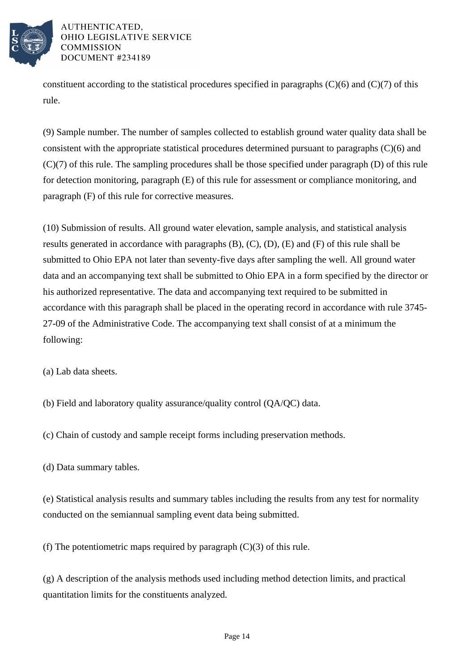

constituent according to the statistical procedures specified in paragraphs  $(C)(6)$  and  $(C)(7)$  of this rule.

(9) Sample number. The number of samples collected to establish ground water quality data shall be consistent with the appropriate statistical procedures determined pursuant to paragraphs (C)(6) and (C)(7) of this rule. The sampling procedures shall be those specified under paragraph (D) of this rule for detection monitoring, paragraph (E) of this rule for assessment or compliance monitoring, and paragraph (F) of this rule for corrective measures.

(10) Submission of results. All ground water elevation, sample analysis, and statistical analysis results generated in accordance with paragraphs (B), (C), (D), (E) and (F) of this rule shall be submitted to Ohio EPA not later than seventy-five days after sampling the well. All ground water data and an accompanying text shall be submitted to Ohio EPA in a form specified by the director or his authorized representative. The data and accompanying text required to be submitted in accordance with this paragraph shall be placed in the operating record in accordance with rule 3745- 27-09 of the Administrative Code. The accompanying text shall consist of at a minimum the following:

(a) Lab data sheets.

(b) Field and laboratory quality assurance/quality control (QA/QC) data.

(c) Chain of custody and sample receipt forms including preservation methods.

(d) Data summary tables.

(e) Statistical analysis results and summary tables including the results from any test for normality conducted on the semiannual sampling event data being submitted.

(f) The potentiometric maps required by paragraph  $(C)(3)$  of this rule.

(g) A description of the analysis methods used including method detection limits, and practical quantitation limits for the constituents analyzed.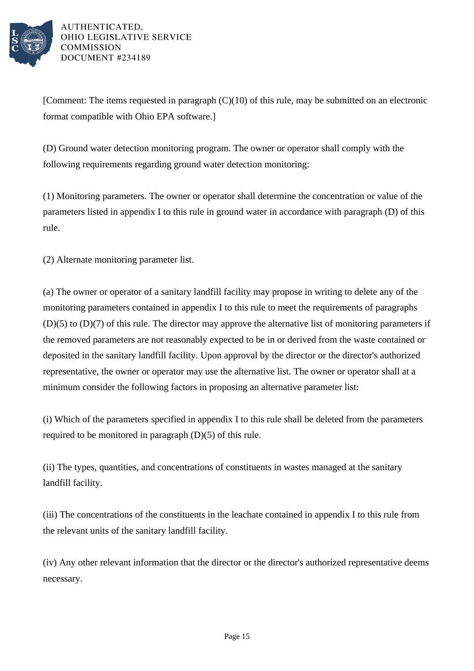

[Comment: The items requested in paragraph  $(C)(10)$  of this rule, may be submitted on an electronic format compatible with Ohio EPA software.]

(D) Ground water detection monitoring program. The owner or operator shall comply with the following requirements regarding ground water detection monitoring:

(1) Monitoring parameters. The owner or operator shall determine the concentration or value of the parameters listed in appendix I to this rule in ground water in accordance with paragraph (D) of this rule.

(2) Alternate monitoring parameter list.

(a) The owner or operator of a sanitary landfill facility may propose in writing to delete any of the monitoring parameters contained in appendix I to this rule to meet the requirements of paragraphs (D)(5) to (D)(7) of this rule. The director may approve the alternative list of monitoring parameters if the removed parameters are not reasonably expected to be in or derived from the waste contained or deposited in the sanitary landfill facility. Upon approval by the director or the director's authorized representative, the owner or operator may use the alternative list. The owner or operator shall at a minimum consider the following factors in proposing an alternative parameter list:

(i) Which of the parameters specified in appendix I to this rule shall be deleted from the parameters required to be monitored in paragraph (D)(5) of this rule.

(ii) The types, quantities, and concentrations of constituents in wastes managed at the sanitary landfill facility.

(iii) The concentrations of the constituents in the leachate contained in appendix I to this rule from the relevant units of the sanitary landfill facility.

(iv) Any other relevant information that the director or the director's authorized representative deems necessary.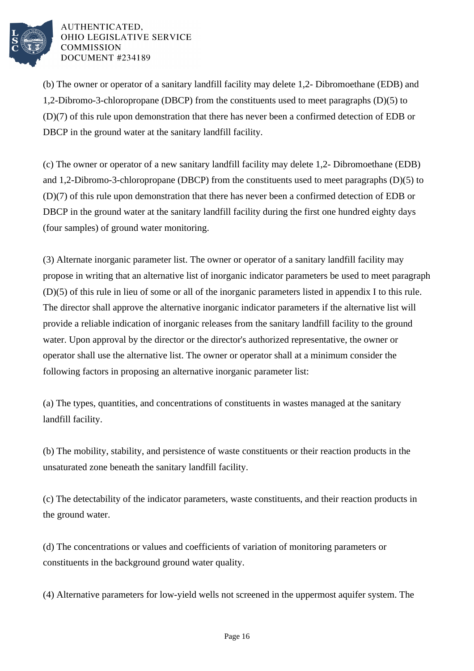

(b) The owner or operator of a sanitary landfill facility may delete 1,2- Dibromoethane (EDB) and 1,2-Dibromo-3-chloropropane (DBCP) from the constituents used to meet paragraphs (D)(5) to (D)(7) of this rule upon demonstration that there has never been a confirmed detection of EDB or DBCP in the ground water at the sanitary landfill facility.

(c) The owner or operator of a new sanitary landfill facility may delete 1,2- Dibromoethane (EDB) and 1,2-Dibromo-3-chloropropane (DBCP) from the constituents used to meet paragraphs (D)(5) to (D)(7) of this rule upon demonstration that there has never been a confirmed detection of EDB or DBCP in the ground water at the sanitary landfill facility during the first one hundred eighty days (four samples) of ground water monitoring.

(3) Alternate inorganic parameter list. The owner or operator of a sanitary landfill facility may propose in writing that an alternative list of inorganic indicator parameters be used to meet paragraph (D)(5) of this rule in lieu of some or all of the inorganic parameters listed in appendix I to this rule. The director shall approve the alternative inorganic indicator parameters if the alternative list will provide a reliable indication of inorganic releases from the sanitary landfill facility to the ground water. Upon approval by the director or the director's authorized representative, the owner or operator shall use the alternative list. The owner or operator shall at a minimum consider the following factors in proposing an alternative inorganic parameter list:

(a) The types, quantities, and concentrations of constituents in wastes managed at the sanitary landfill facility.

(b) The mobility, stability, and persistence of waste constituents or their reaction products in the unsaturated zone beneath the sanitary landfill facility.

(c) The detectability of the indicator parameters, waste constituents, and their reaction products in the ground water.

(d) The concentrations or values and coefficients of variation of monitoring parameters or constituents in the background ground water quality.

(4) Alternative parameters for low-yield wells not screened in the uppermost aquifer system. The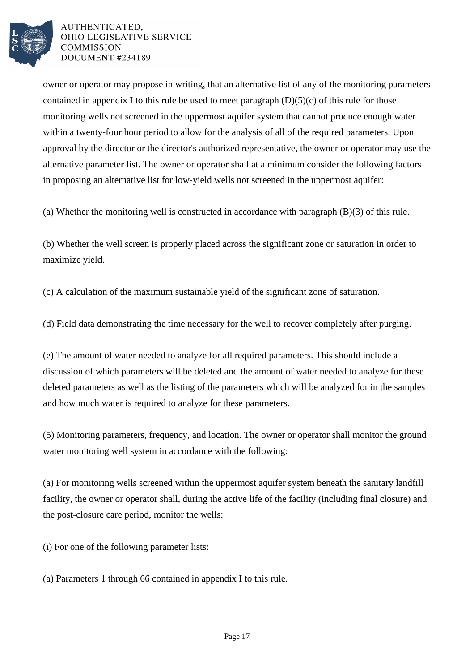

owner or operator may propose in writing, that an alternative list of any of the monitoring parameters contained in appendix I to this rule be used to meet paragraph  $(D)(5)(c)$  of this rule for those monitoring wells not screened in the uppermost aquifer system that cannot produce enough water within a twenty-four hour period to allow for the analysis of all of the required parameters. Upon approval by the director or the director's authorized representative, the owner or operator may use the alternative parameter list. The owner or operator shall at a minimum consider the following factors in proposing an alternative list for low-yield wells not screened in the uppermost aquifer:

(a) Whether the monitoring well is constructed in accordance with paragraph (B)(3) of this rule.

(b) Whether the well screen is properly placed across the significant zone or saturation in order to maximize yield.

(c) A calculation of the maximum sustainable yield of the significant zone of saturation.

(d) Field data demonstrating the time necessary for the well to recover completely after purging.

(e) The amount of water needed to analyze for all required parameters. This should include a discussion of which parameters will be deleted and the amount of water needed to analyze for these deleted parameters as well as the listing of the parameters which will be analyzed for in the samples and how much water is required to analyze for these parameters.

(5) Monitoring parameters, frequency, and location. The owner or operator shall monitor the ground water monitoring well system in accordance with the following:

(a) For monitoring wells screened within the uppermost aquifer system beneath the sanitary landfill facility, the owner or operator shall, during the active life of the facility (including final closure) and the post-closure care period, monitor the wells:

(i) For one of the following parameter lists:

(a) Parameters 1 through 66 contained in appendix I to this rule.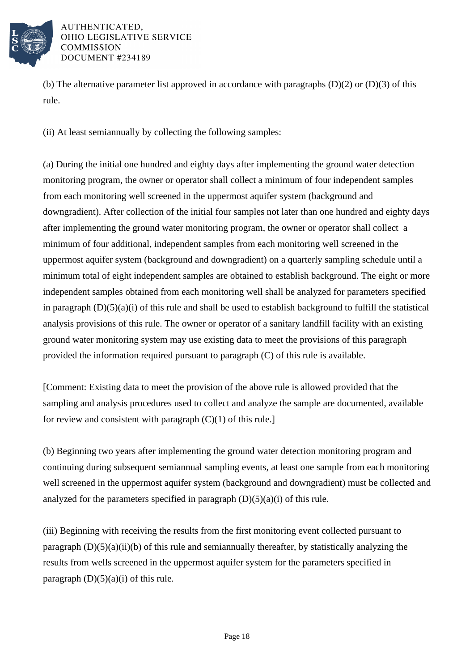

(b) The alternative parameter list approved in accordance with paragraphs  $(D)(2)$  or  $(D)(3)$  of this rule.

(ii) At least semiannually by collecting the following samples:

(a) During the initial one hundred and eighty days after implementing the ground water detection monitoring program, the owner or operator shall collect a minimum of four independent samples from each monitoring well screened in the uppermost aquifer system (background and downgradient). After collection of the initial four samples not later than one hundred and eighty days after implementing the ground water monitoring program, the owner or operator shall collect a minimum of four additional, independent samples from each monitoring well screened in the uppermost aquifer system (background and downgradient) on a quarterly sampling schedule until a minimum total of eight independent samples are obtained to establish background. The eight or more independent samples obtained from each monitoring well shall be analyzed for parameters specified in paragraph  $(D)(5)(a)(i)$  of this rule and shall be used to establish background to fulfill the statistical analysis provisions of this rule. The owner or operator of a sanitary landfill facility with an existing ground water monitoring system may use existing data to meet the provisions of this paragraph provided the information required pursuant to paragraph (C) of this rule is available.

[Comment: Existing data to meet the provision of the above rule is allowed provided that the sampling and analysis procedures used to collect and analyze the sample are documented, available for review and consistent with paragraph  $(C)(1)$  of this rule.]

(b) Beginning two years after implementing the ground water detection monitoring program and continuing during subsequent semiannual sampling events, at least one sample from each monitoring well screened in the uppermost aquifer system (background and downgradient) must be collected and analyzed for the parameters specified in paragraph  $(D)(5)(a)(i)$  of this rule.

(iii) Beginning with receiving the results from the first monitoring event collected pursuant to paragraph  $(D)(5)(a)(ii)(b)$  of this rule and semiannually thereafter, by statistically analyzing the results from wells screened in the uppermost aquifer system for the parameters specified in paragraph  $(D)(5)(a)(i)$  of this rule.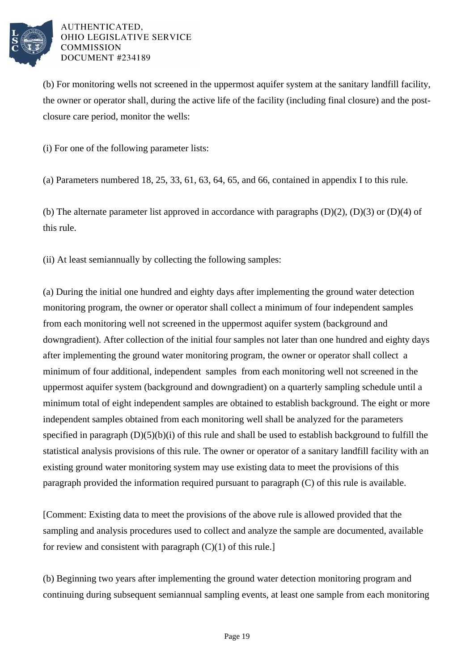

(b) For monitoring wells not screened in the uppermost aquifer system at the sanitary landfill facility, the owner or operator shall, during the active life of the facility (including final closure) and the postclosure care period, monitor the wells:

(i) For one of the following parameter lists:

(a) Parameters numbered 18, 25, 33, 61, 63, 64, 65, and 66, contained in appendix I to this rule.

(b) The alternate parameter list approved in accordance with paragraphs  $(D)(2)$ ,  $(D)(3)$  or  $(D)(4)$  of this rule.

(ii) At least semiannually by collecting the following samples:

(a) During the initial one hundred and eighty days after implementing the ground water detection monitoring program, the owner or operator shall collect a minimum of four independent samples from each monitoring well not screened in the uppermost aquifer system (background and downgradient). After collection of the initial four samples not later than one hundred and eighty days after implementing the ground water monitoring program, the owner or operator shall collect a minimum of four additional, independent samples from each monitoring well not screened in the uppermost aquifer system (background and downgradient) on a quarterly sampling schedule until a minimum total of eight independent samples are obtained to establish background. The eight or more independent samples obtained from each monitoring well shall be analyzed for the parameters specified in paragraph (D)(5)(b)(i) of this rule and shall be used to establish background to fulfill the statistical analysis provisions of this rule. The owner or operator of a sanitary landfill facility with an existing ground water monitoring system may use existing data to meet the provisions of this paragraph provided the information required pursuant to paragraph (C) of this rule is available.

[Comment: Existing data to meet the provisions of the above rule is allowed provided that the sampling and analysis procedures used to collect and analyze the sample are documented, available for review and consistent with paragraph  $(C)(1)$  of this rule.]

(b) Beginning two years after implementing the ground water detection monitoring program and continuing during subsequent semiannual sampling events, at least one sample from each monitoring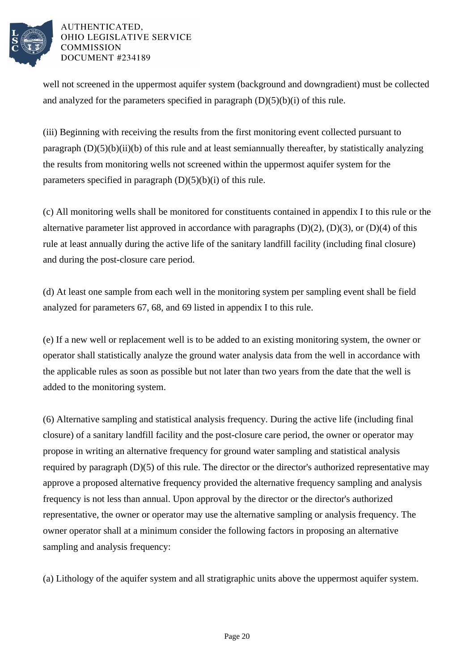

well not screened in the uppermost aquifer system (background and downgradient) must be collected and analyzed for the parameters specified in paragraph  $(D)(5)(b)(i)$  of this rule.

(iii) Beginning with receiving the results from the first monitoring event collected pursuant to paragraph  $(D)(5)(b)(ii)(b)$  of this rule and at least semiannually thereafter, by statistically analyzing the results from monitoring wells not screened within the uppermost aquifer system for the parameters specified in paragraph  $(D)(5)(b)(i)$  of this rule.

(c) All monitoring wells shall be monitored for constituents contained in appendix I to this rule or the alternative parameter list approved in accordance with paragraphs  $(D)(2)$ ,  $(D)(3)$ , or  $(D)(4)$  of this rule at least annually during the active life of the sanitary landfill facility (including final closure) and during the post-closure care period.

(d) At least one sample from each well in the monitoring system per sampling event shall be field analyzed for parameters 67, 68, and 69 listed in appendix I to this rule.

(e) If a new well or replacement well is to be added to an existing monitoring system, the owner or operator shall statistically analyze the ground water analysis data from the well in accordance with the applicable rules as soon as possible but not later than two years from the date that the well is added to the monitoring system.

(6) Alternative sampling and statistical analysis frequency. During the active life (including final closure) of a sanitary landfill facility and the post-closure care period, the owner or operator may propose in writing an alternative frequency for ground water sampling and statistical analysis required by paragraph (D)(5) of this rule. The director or the director's authorized representative may approve a proposed alternative frequency provided the alternative frequency sampling and analysis frequency is not less than annual. Upon approval by the director or the director's authorized representative, the owner or operator may use the alternative sampling or analysis frequency. The owner operator shall at a minimum consider the following factors in proposing an alternative sampling and analysis frequency:

(a) Lithology of the aquifer system and all stratigraphic units above the uppermost aquifer system.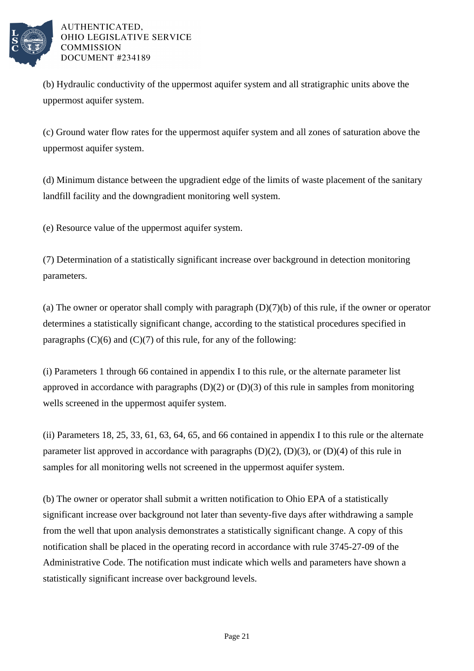

(b) Hydraulic conductivity of the uppermost aquifer system and all stratigraphic units above the uppermost aquifer system.

(c) Ground water flow rates for the uppermost aquifer system and all zones of saturation above the uppermost aquifer system.

(d) Minimum distance between the upgradient edge of the limits of waste placement of the sanitary landfill facility and the downgradient monitoring well system.

(e) Resource value of the uppermost aquifer system.

(7) Determination of a statistically significant increase over background in detection monitoring parameters.

(a) The owner or operator shall comply with paragraph  $(D)(7)(b)$  of this rule, if the owner or operator determines a statistically significant change, according to the statistical procedures specified in paragraphs  $(C)(6)$  and  $(C)(7)$  of this rule, for any of the following:

(i) Parameters 1 through 66 contained in appendix I to this rule, or the alternate parameter list approved in accordance with paragraphs  $(D)(2)$  or  $(D)(3)$  of this rule in samples from monitoring wells screened in the uppermost aquifer system.

(ii) Parameters 18, 25, 33, 61, 63, 64, 65, and 66 contained in appendix I to this rule or the alternate parameter list approved in accordance with paragraphs  $(D)(2)$ ,  $(D)(3)$ , or  $(D)(4)$  of this rule in samples for all monitoring wells not screened in the uppermost aquifer system.

(b) The owner or operator shall submit a written notification to Ohio EPA of a statistically significant increase over background not later than seventy-five days after withdrawing a sample from the well that upon analysis demonstrates a statistically significant change. A copy of this notification shall be placed in the operating record in accordance with rule 3745-27-09 of the Administrative Code. The notification must indicate which wells and parameters have shown a statistically significant increase over background levels.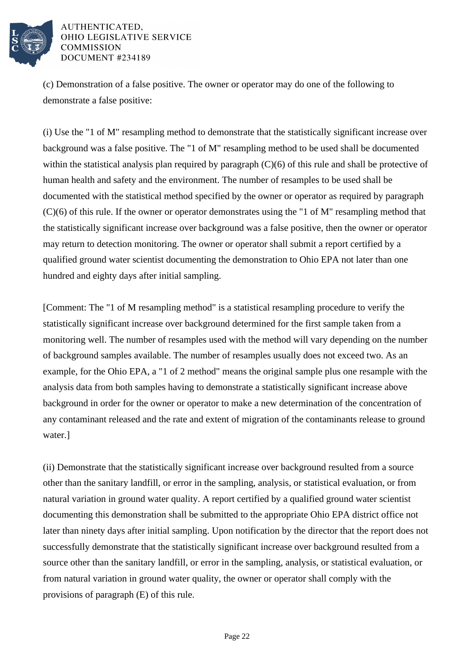

(c) Demonstration of a false positive. The owner or operator may do one of the following to demonstrate a false positive:

(i) Use the "1 of M" resampling method to demonstrate that the statistically significant increase over background was a false positive. The "1 of M" resampling method to be used shall be documented within the statistical analysis plan required by paragraph  $(C)(6)$  of this rule and shall be protective of human health and safety and the environment. The number of resamples to be used shall be documented with the statistical method specified by the owner or operator as required by paragraph (C)(6) of this rule. If the owner or operator demonstrates using the "1 of M" resampling method that the statistically significant increase over background was a false positive, then the owner or operator may return to detection monitoring. The owner or operator shall submit a report certified by a qualified ground water scientist documenting the demonstration to Ohio EPA not later than one hundred and eighty days after initial sampling.

[Comment: The "1 of M resampling method" is a statistical resampling procedure to verify the statistically significant increase over background determined for the first sample taken from a monitoring well. The number of resamples used with the method will vary depending on the number of background samples available. The number of resamples usually does not exceed two. As an example, for the Ohio EPA, a "1 of 2 method" means the original sample plus one resample with the analysis data from both samples having to demonstrate a statistically significant increase above background in order for the owner or operator to make a new determination of the concentration of any contaminant released and the rate and extent of migration of the contaminants release to ground water.]

(ii) Demonstrate that the statistically significant increase over background resulted from a source other than the sanitary landfill, or error in the sampling, analysis, or statistical evaluation, or from natural variation in ground water quality. A report certified by a qualified ground water scientist documenting this demonstration shall be submitted to the appropriate Ohio EPA district office not later than ninety days after initial sampling. Upon notification by the director that the report does not successfully demonstrate that the statistically significant increase over background resulted from a source other than the sanitary landfill, or error in the sampling, analysis, or statistical evaluation, or from natural variation in ground water quality, the owner or operator shall comply with the provisions of paragraph (E) of this rule.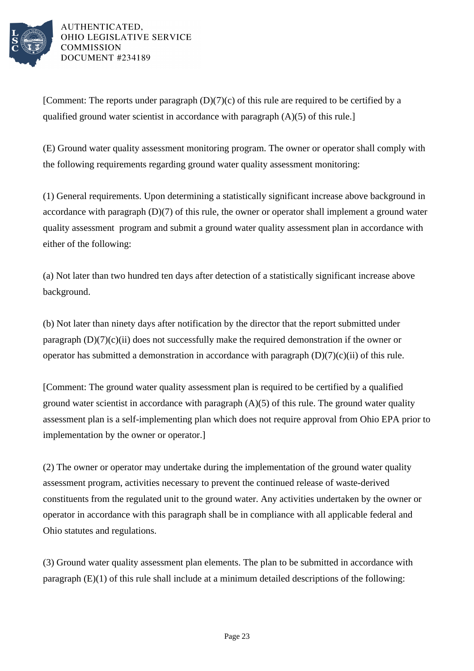

[Comment: The reports under paragraph  $(D)(7)(c)$  of this rule are required to be certified by a qualified ground water scientist in accordance with paragraph (A)(5) of this rule.]

(E) Ground water quality assessment monitoring program. The owner or operator shall comply with the following requirements regarding ground water quality assessment monitoring:

(1) General requirements. Upon determining a statistically significant increase above background in accordance with paragraph (D)(7) of this rule, the owner or operator shall implement a ground water quality assessment program and submit a ground water quality assessment plan in accordance with either of the following:

(a) Not later than two hundred ten days after detection of a statistically significant increase above background.

(b) Not later than ninety days after notification by the director that the report submitted under paragraph  $(D)(7)(c)(ii)$  does not successfully make the required demonstration if the owner or operator has submitted a demonstration in accordance with paragraph  $(D)(7)(c)(ii)$  of this rule.

[Comment: The ground water quality assessment plan is required to be certified by a qualified ground water scientist in accordance with paragraph  $(A)(5)$  of this rule. The ground water quality assessment plan is a self-implementing plan which does not require approval from Ohio EPA prior to implementation by the owner or operator.]

(2) The owner or operator may undertake during the implementation of the ground water quality assessment program, activities necessary to prevent the continued release of waste-derived constituents from the regulated unit to the ground water. Any activities undertaken by the owner or operator in accordance with this paragraph shall be in compliance with all applicable federal and Ohio statutes and regulations.

(3) Ground water quality assessment plan elements. The plan to be submitted in accordance with paragraph (E)(1) of this rule shall include at a minimum detailed descriptions of the following: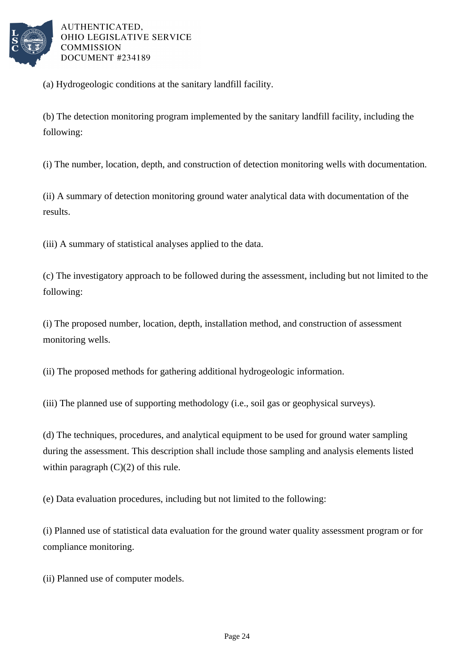

(a) Hydrogeologic conditions at the sanitary landfill facility.

(b) The detection monitoring program implemented by the sanitary landfill facility, including the following:

(i) The number, location, depth, and construction of detection monitoring wells with documentation.

(ii) A summary of detection monitoring ground water analytical data with documentation of the results.

(iii) A summary of statistical analyses applied to the data.

(c) The investigatory approach to be followed during the assessment, including but not limited to the following:

(i) The proposed number, location, depth, installation method, and construction of assessment monitoring wells.

(ii) The proposed methods for gathering additional hydrogeologic information.

(iii) The planned use of supporting methodology (i.e., soil gas or geophysical surveys).

(d) The techniques, procedures, and analytical equipment to be used for ground water sampling during the assessment. This description shall include those sampling and analysis elements listed within paragraph  $(C)(2)$  of this rule.

(e) Data evaluation procedures, including but not limited to the following:

(i) Planned use of statistical data evaluation for the ground water quality assessment program or for compliance monitoring.

(ii) Planned use of computer models.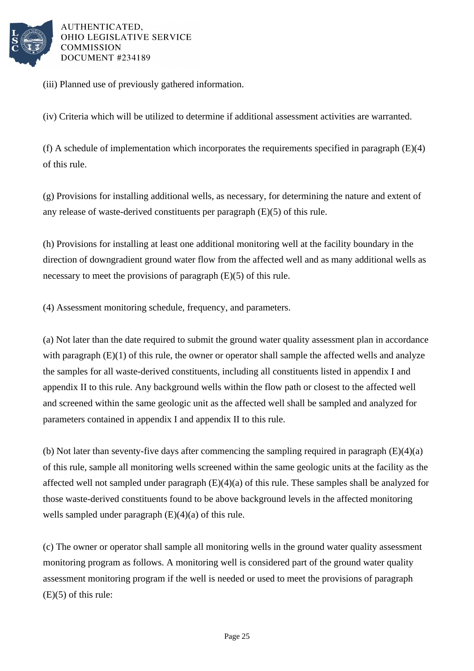

(iii) Planned use of previously gathered information.

(iv) Criteria which will be utilized to determine if additional assessment activities are warranted.

(f) A schedule of implementation which incorporates the requirements specified in paragraph (E)(4) of this rule.

(g) Provisions for installing additional wells, as necessary, for determining the nature and extent of any release of waste-derived constituents per paragraph (E)(5) of this rule.

(h) Provisions for installing at least one additional monitoring well at the facility boundary in the direction of downgradient ground water flow from the affected well and as many additional wells as necessary to meet the provisions of paragraph (E)(5) of this rule.

(4) Assessment monitoring schedule, frequency, and parameters.

(a) Not later than the date required to submit the ground water quality assessment plan in accordance with paragraph (E)(1) of this rule, the owner or operator shall sample the affected wells and analyze the samples for all waste-derived constituents, including all constituents listed in appendix I and appendix II to this rule. Any background wells within the flow path or closest to the affected well and screened within the same geologic unit as the affected well shall be sampled and analyzed for parameters contained in appendix I and appendix II to this rule.

(b) Not later than seventy-five days after commencing the sampling required in paragraph  $(E)(4)(a)$ of this rule, sample all monitoring wells screened within the same geologic units at the facility as the affected well not sampled under paragraph  $(E)(4)(a)$  of this rule. These samples shall be analyzed for those waste-derived constituents found to be above background levels in the affected monitoring wells sampled under paragraph  $(E)(4)(a)$  of this rule.

(c) The owner or operator shall sample all monitoring wells in the ground water quality assessment monitoring program as follows. A monitoring well is considered part of the ground water quality assessment monitoring program if the well is needed or used to meet the provisions of paragraph (E)(5) of this rule: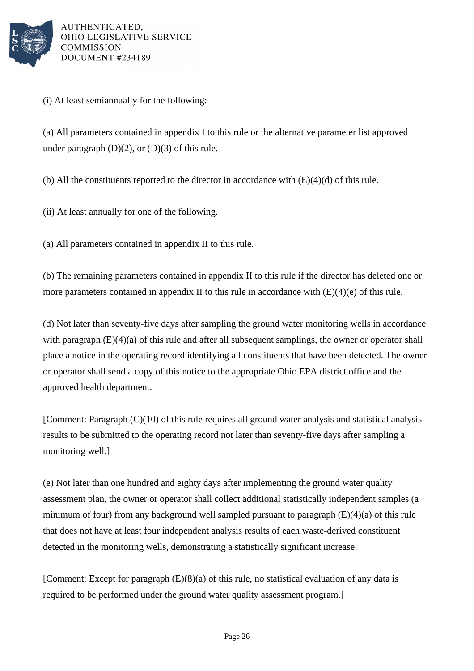

(i) At least semiannually for the following:

(a) All parameters contained in appendix I to this rule or the alternative parameter list approved under paragraph  $(D)(2)$ , or  $(D)(3)$  of this rule.

(b) All the constituents reported to the director in accordance with  $(E)(4)(d)$  of this rule.

(ii) At least annually for one of the following.

(a) All parameters contained in appendix II to this rule.

(b) The remaining parameters contained in appendix II to this rule if the director has deleted one or more parameters contained in appendix II to this rule in accordance with  $(E)(4)(e)$  of this rule.

(d) Not later than seventy-five days after sampling the ground water monitoring wells in accordance with paragraph  $(E)(4)(a)$  of this rule and after all subsequent samplings, the owner or operator shall place a notice in the operating record identifying all constituents that have been detected. The owner or operator shall send a copy of this notice to the appropriate Ohio EPA district office and the approved health department.

[Comment: Paragraph (C)(10) of this rule requires all ground water analysis and statistical analysis results to be submitted to the operating record not later than seventy-five days after sampling a monitoring well.]

(e) Not later than one hundred and eighty days after implementing the ground water quality assessment plan, the owner or operator shall collect additional statistically independent samples (a minimum of four) from any background well sampled pursuant to paragraph (E)(4)(a) of this rule that does not have at least four independent analysis results of each waste-derived constituent detected in the monitoring wells, demonstrating a statistically significant increase.

[Comment: Except for paragraph (E)(8)(a) of this rule, no statistical evaluation of any data is required to be performed under the ground water quality assessment program.]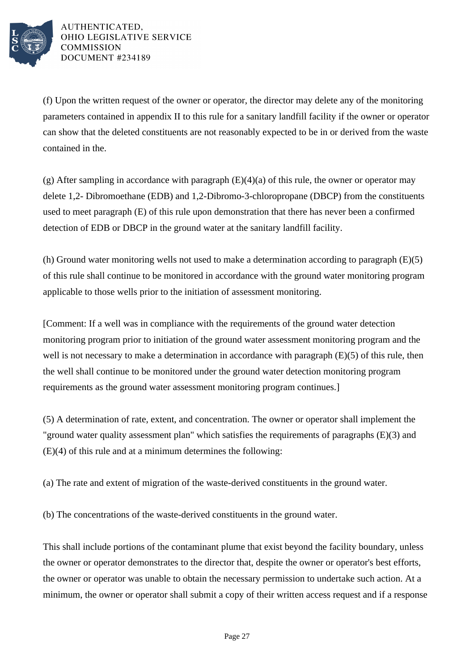

(f) Upon the written request of the owner or operator, the director may delete any of the monitoring parameters contained in appendix II to this rule for a sanitary landfill facility if the owner or operator can show that the deleted constituents are not reasonably expected to be in or derived from the waste contained in the.

(g) After sampling in accordance with paragraph  $(E)(4)(a)$  of this rule, the owner or operator may delete 1,2- Dibromoethane (EDB) and 1,2-Dibromo-3-chloropropane (DBCP) from the constituents used to meet paragraph (E) of this rule upon demonstration that there has never been a confirmed detection of EDB or DBCP in the ground water at the sanitary landfill facility.

(h) Ground water monitoring wells not used to make a determination according to paragraph (E)(5) of this rule shall continue to be monitored in accordance with the ground water monitoring program applicable to those wells prior to the initiation of assessment monitoring.

[Comment: If a well was in compliance with the requirements of the ground water detection monitoring program prior to initiation of the ground water assessment monitoring program and the well is not necessary to make a determination in accordance with paragraph (E)(5) of this rule, then the well shall continue to be monitored under the ground water detection monitoring program requirements as the ground water assessment monitoring program continues.]

(5) A determination of rate, extent, and concentration. The owner or operator shall implement the "ground water quality assessment plan" which satisfies the requirements of paragraphs (E)(3) and (E)(4) of this rule and at a minimum determines the following:

(a) The rate and extent of migration of the waste-derived constituents in the ground water.

(b) The concentrations of the waste-derived constituents in the ground water.

This shall include portions of the contaminant plume that exist beyond the facility boundary, unless the owner or operator demonstrates to the director that, despite the owner or operator's best efforts, the owner or operator was unable to obtain the necessary permission to undertake such action. At a minimum, the owner or operator shall submit a copy of their written access request and if a response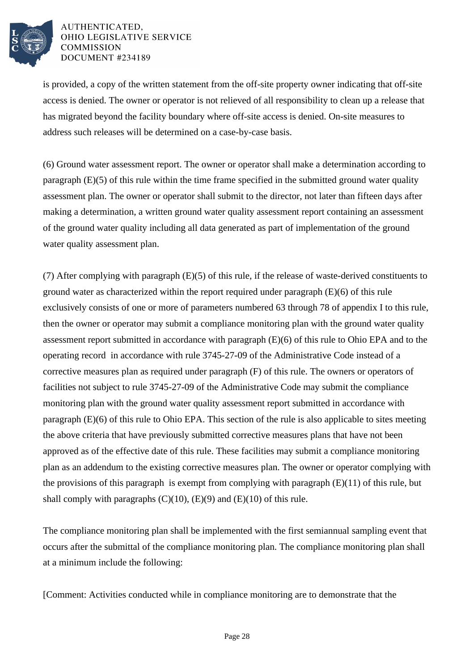

is provided, a copy of the written statement from the off-site property owner indicating that off-site access is denied. The owner or operator is not relieved of all responsibility to clean up a release that has migrated beyond the facility boundary where off-site access is denied. On-site measures to address such releases will be determined on a case-by-case basis.

(6) Ground water assessment report. The owner or operator shall make a determination according to paragraph (E)(5) of this rule within the time frame specified in the submitted ground water quality assessment plan. The owner or operator shall submit to the director, not later than fifteen days after making a determination, a written ground water quality assessment report containing an assessment of the ground water quality including all data generated as part of implementation of the ground water quality assessment plan.

(7) After complying with paragraph (E)(5) of this rule, if the release of waste-derived constituents to ground water as characterized within the report required under paragraph (E)(6) of this rule exclusively consists of one or more of parameters numbered 63 through 78 of appendix I to this rule, then the owner or operator may submit a compliance monitoring plan with the ground water quality assessment report submitted in accordance with paragraph (E)(6) of this rule to Ohio EPA and to the operating record in accordance with rule 3745-27-09 of the Administrative Code instead of a corrective measures plan as required under paragraph (F) of this rule. The owners or operators of facilities not subject to rule 3745-27-09 of the Administrative Code may submit the compliance monitoring plan with the ground water quality assessment report submitted in accordance with paragraph (E)(6) of this rule to Ohio EPA. This section of the rule is also applicable to sites meeting the above criteria that have previously submitted corrective measures plans that have not been approved as of the effective date of this rule. These facilities may submit a compliance monitoring plan as an addendum to the existing corrective measures plan. The owner or operator complying with the provisions of this paragraph is exempt from complying with paragraph  $(E)(11)$  of this rule, but shall comply with paragraphs  $(C)(10)$ ,  $(E)(9)$  and  $(E)(10)$  of this rule.

The compliance monitoring plan shall be implemented with the first semiannual sampling event that occurs after the submittal of the compliance monitoring plan. The compliance monitoring plan shall at a minimum include the following:

[Comment: Activities conducted while in compliance monitoring are to demonstrate that the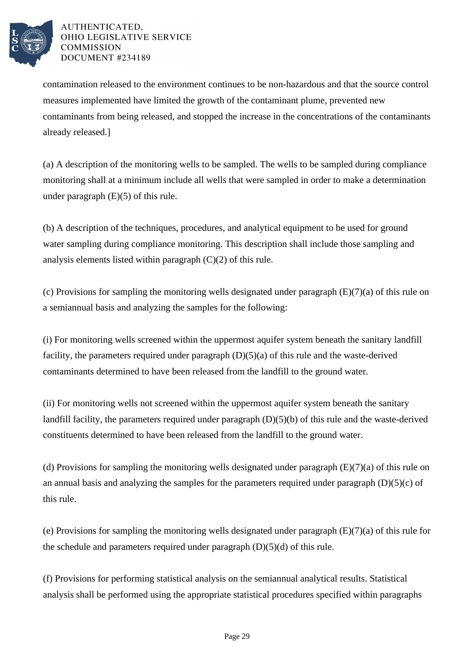

contamination released to the environment continues to be non-hazardous and that the source control measures implemented have limited the growth of the contaminant plume, prevented new contaminants from being released, and stopped the increase in the concentrations of the contaminants already released.]

(a) A description of the monitoring wells to be sampled. The wells to be sampled during compliance monitoring shall at a minimum include all wells that were sampled in order to make a determination under paragraph (E)(5) of this rule.

(b) A description of the techniques, procedures, and analytical equipment to be used for ground water sampling during compliance monitoring. This description shall include those sampling and analysis elements listed within paragraph (C)(2) of this rule.

(c) Provisions for sampling the monitoring wells designated under paragraph (E)(7)(a) of this rule on a semiannual basis and analyzing the samples for the following:

(i) For monitoring wells screened within the uppermost aquifer system beneath the sanitary landfill facility, the parameters required under paragraph (D)(5)(a) of this rule and the waste-derived contaminants determined to have been released from the landfill to the ground water.

(ii) For monitoring wells not screened within the uppermost aquifer system beneath the sanitary landfill facility, the parameters required under paragraph (D)(5)(b) of this rule and the waste-derived constituents determined to have been released from the landfill to the ground water.

(d) Provisions for sampling the monitoring wells designated under paragraph  $(E)(7)(a)$  of this rule on an annual basis and analyzing the samples for the parameters required under paragraph (D)(5)(c) of this rule.

(e) Provisions for sampling the monitoring wells designated under paragraph (E)(7)(a) of this rule for the schedule and parameters required under paragraph  $(D)(5)(d)$  of this rule.

(f) Provisions for performing statistical analysis on the semiannual analytical results. Statistical analysis shall be performed using the appropriate statistical procedures specified within paragraphs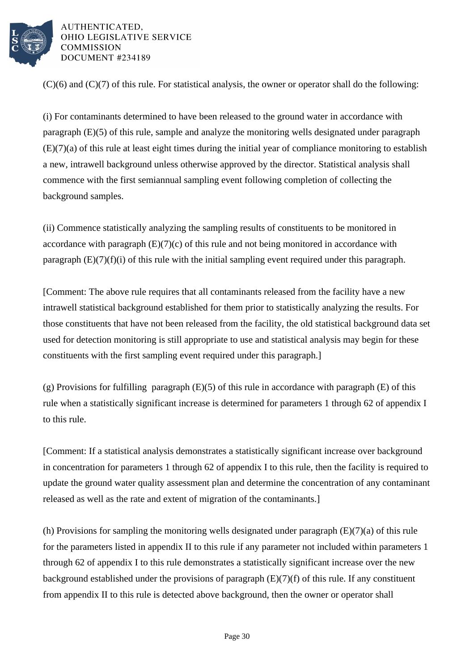

 $(C)(6)$  and  $(C)(7)$  of this rule. For statistical analysis, the owner or operator shall do the following:

(i) For contaminants determined to have been released to the ground water in accordance with paragraph (E)(5) of this rule, sample and analyze the monitoring wells designated under paragraph (E)(7)(a) of this rule at least eight times during the initial year of compliance monitoring to establish a new, intrawell background unless otherwise approved by the director. Statistical analysis shall commence with the first semiannual sampling event following completion of collecting the background samples.

(ii) Commence statistically analyzing the sampling results of constituents to be monitored in accordance with paragraph  $(E)(7)(c)$  of this rule and not being monitored in accordance with paragraph  $(E)(7)(f)(i)$  of this rule with the initial sampling event required under this paragraph.

[Comment: The above rule requires that all contaminants released from the facility have a new intrawell statistical background established for them prior to statistically analyzing the results. For those constituents that have not been released from the facility, the old statistical background data set used for detection monitoring is still appropriate to use and statistical analysis may begin for these constituents with the first sampling event required under this paragraph.]

(g) Provisions for fulfilling paragraph (E)(5) of this rule in accordance with paragraph (E) of this rule when a statistically significant increase is determined for parameters 1 through 62 of appendix I to this rule.

[Comment: If a statistical analysis demonstrates a statistically significant increase over background in concentration for parameters 1 through 62 of appendix I to this rule, then the facility is required to update the ground water quality assessment plan and determine the concentration of any contaminant released as well as the rate and extent of migration of the contaminants.]

(h) Provisions for sampling the monitoring wells designated under paragraph (E)(7)(a) of this rule for the parameters listed in appendix II to this rule if any parameter not included within parameters 1 through 62 of appendix I to this rule demonstrates a statistically significant increase over the new background established under the provisions of paragraph  $(E)(7)(f)$  of this rule. If any constituent from appendix II to this rule is detected above background, then the owner or operator shall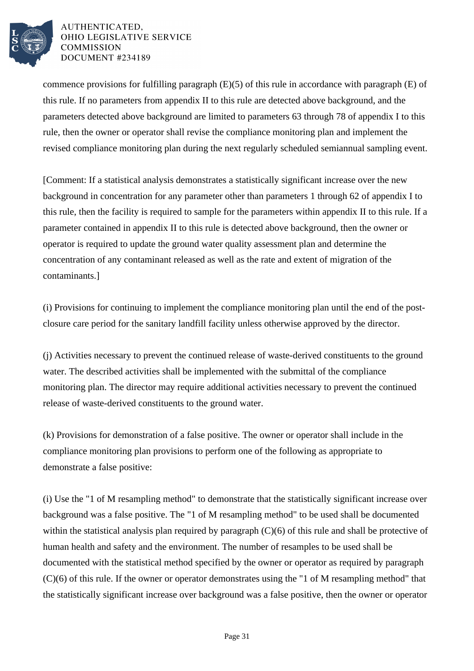

commence provisions for fulfilling paragraph (E)(5) of this rule in accordance with paragraph (E) of this rule. If no parameters from appendix II to this rule are detected above background, and the parameters detected above background are limited to parameters 63 through 78 of appendix I to this rule, then the owner or operator shall revise the compliance monitoring plan and implement the revised compliance monitoring plan during the next regularly scheduled semiannual sampling event.

[Comment: If a statistical analysis demonstrates a statistically significant increase over the new background in concentration for any parameter other than parameters 1 through 62 of appendix I to this rule, then the facility is required to sample for the parameters within appendix II to this rule. If a parameter contained in appendix II to this rule is detected above background, then the owner or operator is required to update the ground water quality assessment plan and determine the concentration of any contaminant released as well as the rate and extent of migration of the contaminants.]

(i) Provisions for continuing to implement the compliance monitoring plan until the end of the postclosure care period for the sanitary landfill facility unless otherwise approved by the director.

(j) Activities necessary to prevent the continued release of waste-derived constituents to the ground water. The described activities shall be implemented with the submittal of the compliance monitoring plan. The director may require additional activities necessary to prevent the continued release of waste-derived constituents to the ground water.

(k) Provisions for demonstration of a false positive. The owner or operator shall include in the compliance monitoring plan provisions to perform one of the following as appropriate to demonstrate a false positive:

(i) Use the "1 of M resampling method" to demonstrate that the statistically significant increase over background was a false positive. The "1 of M resampling method" to be used shall be documented within the statistical analysis plan required by paragraph  $(C)(6)$  of this rule and shall be protective of human health and safety and the environment. The number of resamples to be used shall be documented with the statistical method specified by the owner or operator as required by paragraph (C)(6) of this rule. If the owner or operator demonstrates using the "1 of M resampling method" that the statistically significant increase over background was a false positive, then the owner or operator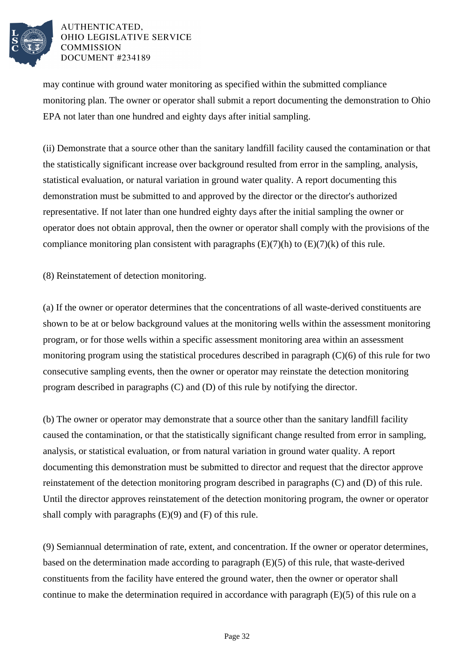

may continue with ground water monitoring as specified within the submitted compliance monitoring plan. The owner or operator shall submit a report documenting the demonstration to Ohio EPA not later than one hundred and eighty days after initial sampling.

(ii) Demonstrate that a source other than the sanitary landfill facility caused the contamination or that the statistically significant increase over background resulted from error in the sampling, analysis, statistical evaluation, or natural variation in ground water quality. A report documenting this demonstration must be submitted to and approved by the director or the director's authorized representative. If not later than one hundred eighty days after the initial sampling the owner or operator does not obtain approval, then the owner or operator shall comply with the provisions of the compliance monitoring plan consistent with paragraphs  $(E)(7)(h)$  to  $(E)(7)(k)$  of this rule.

(8) Reinstatement of detection monitoring.

(a) If the owner or operator determines that the concentrations of all waste-derived constituents are shown to be at or below background values at the monitoring wells within the assessment monitoring program, or for those wells within a specific assessment monitoring area within an assessment monitoring program using the statistical procedures described in paragraph (C)(6) of this rule for two consecutive sampling events, then the owner or operator may reinstate the detection monitoring program described in paragraphs (C) and (D) of this rule by notifying the director.

(b) The owner or operator may demonstrate that a source other than the sanitary landfill facility caused the contamination, or that the statistically significant change resulted from error in sampling, analysis, or statistical evaluation, or from natural variation in ground water quality. A report documenting this demonstration must be submitted to director and request that the director approve reinstatement of the detection monitoring program described in paragraphs (C) and (D) of this rule. Until the director approves reinstatement of the detection monitoring program, the owner or operator shall comply with paragraphs (E)(9) and (F) of this rule.

(9) Semiannual determination of rate, extent, and concentration. If the owner or operator determines, based on the determination made according to paragraph (E)(5) of this rule, that waste-derived constituents from the facility have entered the ground water, then the owner or operator shall continue to make the determination required in accordance with paragraph  $(E)(5)$  of this rule on a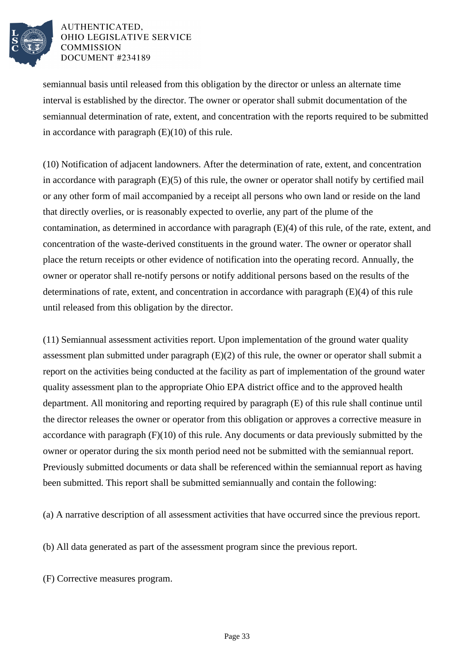

semiannual basis until released from this obligation by the director or unless an alternate time interval is established by the director. The owner or operator shall submit documentation of the semiannual determination of rate, extent, and concentration with the reports required to be submitted in accordance with paragraph  $(E)(10)$  of this rule.

(10) Notification of adjacent landowners. After the determination of rate, extent, and concentration in accordance with paragraph (E)(5) of this rule, the owner or operator shall notify by certified mail or any other form of mail accompanied by a receipt all persons who own land or reside on the land that directly overlies, or is reasonably expected to overlie, any part of the plume of the contamination, as determined in accordance with paragraph (E)(4) of this rule, of the rate, extent, and concentration of the waste-derived constituents in the ground water. The owner or operator shall place the return receipts or other evidence of notification into the operating record. Annually, the owner or operator shall re-notify persons or notify additional persons based on the results of the determinations of rate, extent, and concentration in accordance with paragraph (E)(4) of this rule until released from this obligation by the director.

(11) Semiannual assessment activities report. Upon implementation of the ground water quality assessment plan submitted under paragraph (E)(2) of this rule, the owner or operator shall submit a report on the activities being conducted at the facility as part of implementation of the ground water quality assessment plan to the appropriate Ohio EPA district office and to the approved health department. All monitoring and reporting required by paragraph (E) of this rule shall continue until the director releases the owner or operator from this obligation or approves a corrective measure in accordance with paragraph (F)(10) of this rule. Any documents or data previously submitted by the owner or operator during the six month period need not be submitted with the semiannual report. Previously submitted documents or data shall be referenced within the semiannual report as having been submitted. This report shall be submitted semiannually and contain the following:

(a) A narrative description of all assessment activities that have occurred since the previous report.

(b) All data generated as part of the assessment program since the previous report.

(F) Corrective measures program.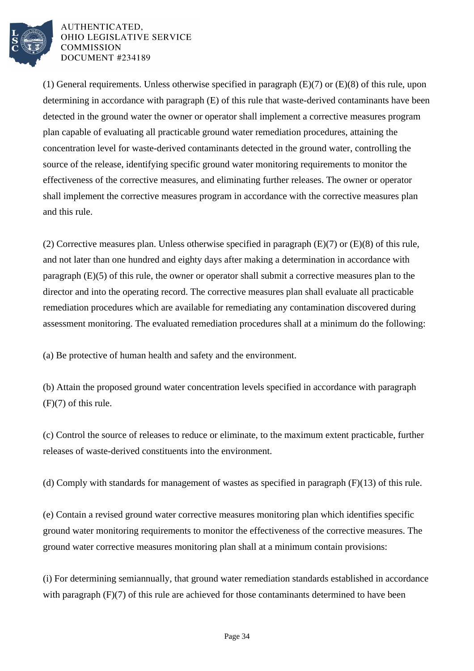

(1) General requirements. Unless otherwise specified in paragraph (E)(7) or (E)(8) of this rule, upon determining in accordance with paragraph (E) of this rule that waste-derived contaminants have been detected in the ground water the owner or operator shall implement a corrective measures program plan capable of evaluating all practicable ground water remediation procedures, attaining the concentration level for waste-derived contaminants detected in the ground water, controlling the source of the release, identifying specific ground water monitoring requirements to monitor the effectiveness of the corrective measures, and eliminating further releases. The owner or operator shall implement the corrective measures program in accordance with the corrective measures plan and this rule.

(2) Corrective measures plan. Unless otherwise specified in paragraph (E)(7) or (E)(8) of this rule, and not later than one hundred and eighty days after making a determination in accordance with paragraph (E)(5) of this rule, the owner or operator shall submit a corrective measures plan to the director and into the operating record. The corrective measures plan shall evaluate all practicable remediation procedures which are available for remediating any contamination discovered during assessment monitoring. The evaluated remediation procedures shall at a minimum do the following:

(a) Be protective of human health and safety and the environment.

(b) Attain the proposed ground water concentration levels specified in accordance with paragraph  $(F)(7)$  of this rule.

(c) Control the source of releases to reduce or eliminate, to the maximum extent practicable, further releases of waste-derived constituents into the environment.

(d) Comply with standards for management of wastes as specified in paragraph (F)(13) of this rule.

(e) Contain a revised ground water corrective measures monitoring plan which identifies specific ground water monitoring requirements to monitor the effectiveness of the corrective measures. The ground water corrective measures monitoring plan shall at a minimum contain provisions:

(i) For determining semiannually, that ground water remediation standards established in accordance with paragraph (F)(7) of this rule are achieved for those contaminants determined to have been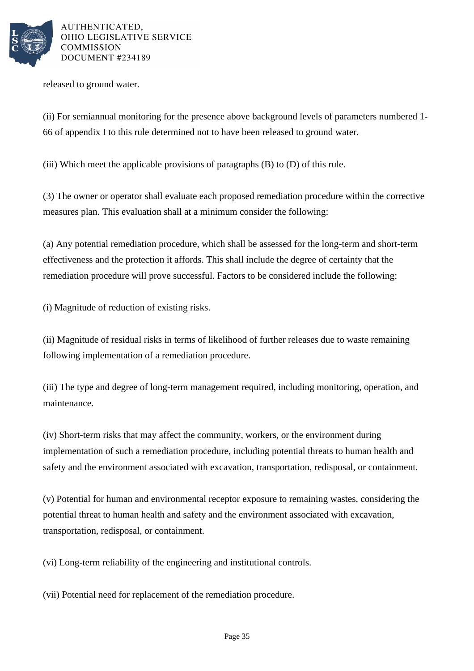

released to ground water.

(ii) For semiannual monitoring for the presence above background levels of parameters numbered 1- 66 of appendix I to this rule determined not to have been released to ground water.

(iii) Which meet the applicable provisions of paragraphs (B) to (D) of this rule.

(3) The owner or operator shall evaluate each proposed remediation procedure within the corrective measures plan. This evaluation shall at a minimum consider the following:

(a) Any potential remediation procedure, which shall be assessed for the long-term and short-term effectiveness and the protection it affords. This shall include the degree of certainty that the remediation procedure will prove successful. Factors to be considered include the following:

(i) Magnitude of reduction of existing risks.

(ii) Magnitude of residual risks in terms of likelihood of further releases due to waste remaining following implementation of a remediation procedure.

(iii) The type and degree of long-term management required, including monitoring, operation, and maintenance.

(iv) Short-term risks that may affect the community, workers, or the environment during implementation of such a remediation procedure, including potential threats to human health and safety and the environment associated with excavation, transportation, redisposal, or containment.

(v) Potential for human and environmental receptor exposure to remaining wastes, considering the potential threat to human health and safety and the environment associated with excavation, transportation, redisposal, or containment.

(vi) Long-term reliability of the engineering and institutional controls.

(vii) Potential need for replacement of the remediation procedure.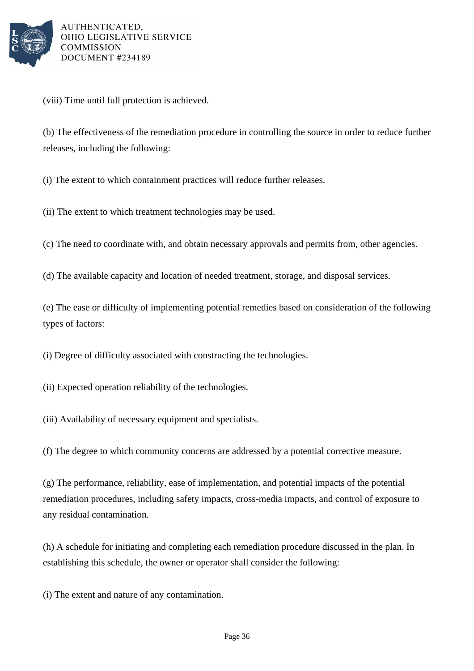

(viii) Time until full protection is achieved.

(b) The effectiveness of the remediation procedure in controlling the source in order to reduce further releases, including the following:

(i) The extent to which containment practices will reduce further releases.

(ii) The extent to which treatment technologies may be used.

(c) The need to coordinate with, and obtain necessary approvals and permits from, other agencies.

(d) The available capacity and location of needed treatment, storage, and disposal services.

(e) The ease or difficulty of implementing potential remedies based on consideration of the following types of factors:

(i) Degree of difficulty associated with constructing the technologies.

(ii) Expected operation reliability of the technologies.

(iii) Availability of necessary equipment and specialists.

(f) The degree to which community concerns are addressed by a potential corrective measure.

(g) The performance, reliability, ease of implementation, and potential impacts of the potential remediation procedures, including safety impacts, cross-media impacts, and control of exposure to any residual contamination.

(h) A schedule for initiating and completing each remediation procedure discussed in the plan. In establishing this schedule, the owner or operator shall consider the following:

(i) The extent and nature of any contamination.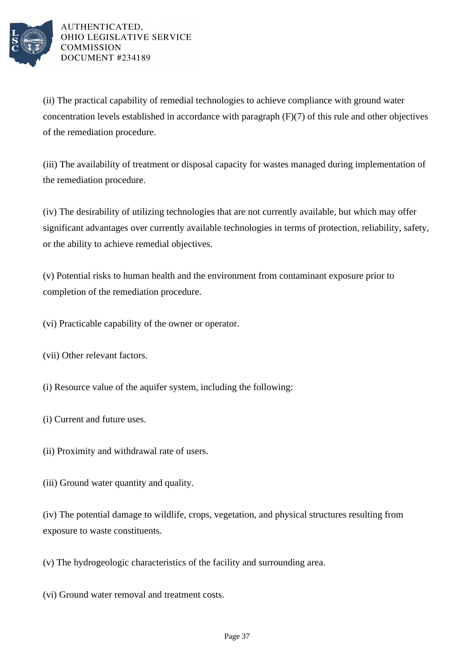

(ii) The practical capability of remedial technologies to achieve compliance with ground water concentration levels established in accordance with paragraph (F)(7) of this rule and other objectives of the remediation procedure.

(iii) The availability of treatment or disposal capacity for wastes managed during implementation of the remediation procedure.

(iv) The desirability of utilizing technologies that are not currently available, but which may offer significant advantages over currently available technologies in terms of protection, reliability, safety, or the ability to achieve remedial objectives.

(v) Potential risks to human health and the environment from contaminant exposure prior to completion of the remediation procedure.

(vi) Practicable capability of the owner or operator.

(vii) Other relevant factors.

(i) Resource value of the aquifer system, including the following:

(i) Current and future uses.

(ii) Proximity and withdrawal rate of users.

(iii) Ground water quantity and quality.

(iv) The potential damage to wildlife, crops, vegetation, and physical structures resulting from exposure to waste constituents.

(v) The hydrogeologic characteristics of the facility and surrounding area.

(vi) Ground water removal and treatment costs.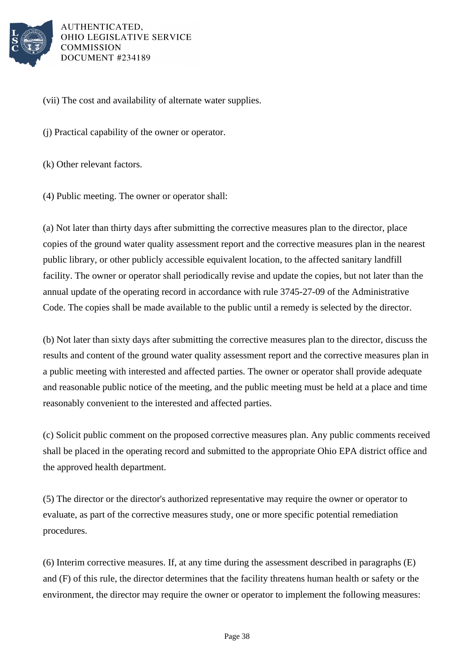

(vii) The cost and availability of alternate water supplies.

(j) Practical capability of the owner or operator.

(k) Other relevant factors.

(4) Public meeting. The owner or operator shall:

(a) Not later than thirty days after submitting the corrective measures plan to the director, place copies of the ground water quality assessment report and the corrective measures plan in the nearest public library, or other publicly accessible equivalent location, to the affected sanitary landfill facility. The owner or operator shall periodically revise and update the copies, but not later than the annual update of the operating record in accordance with rule 3745-27-09 of the Administrative Code. The copies shall be made available to the public until a remedy is selected by the director.

(b) Not later than sixty days after submitting the corrective measures plan to the director, discuss the results and content of the ground water quality assessment report and the corrective measures plan in a public meeting with interested and affected parties. The owner or operator shall provide adequate and reasonable public notice of the meeting, and the public meeting must be held at a place and time reasonably convenient to the interested and affected parties.

(c) Solicit public comment on the proposed corrective measures plan. Any public comments received shall be placed in the operating record and submitted to the appropriate Ohio EPA district office and the approved health department.

(5) The director or the director's authorized representative may require the owner or operator to evaluate, as part of the corrective measures study, one or more specific potential remediation procedures.

(6) Interim corrective measures. If, at any time during the assessment described in paragraphs (E) and (F) of this rule, the director determines that the facility threatens human health or safety or the environment, the director may require the owner or operator to implement the following measures: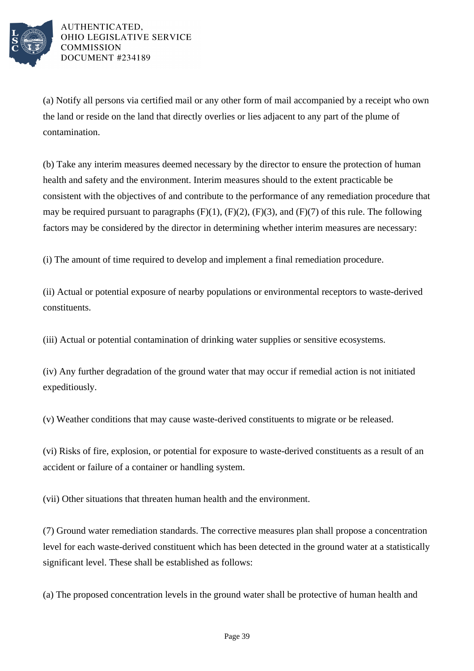

(a) Notify all persons via certified mail or any other form of mail accompanied by a receipt who own the land or reside on the land that directly overlies or lies adjacent to any part of the plume of contamination.

(b) Take any interim measures deemed necessary by the director to ensure the protection of human health and safety and the environment. Interim measures should to the extent practicable be consistent with the objectives of and contribute to the performance of any remediation procedure that may be required pursuant to paragraphs  $(F)(1)$ ,  $(F)(2)$ ,  $(F)(3)$ , and  $(F)(7)$  of this rule. The following factors may be considered by the director in determining whether interim measures are necessary:

(i) The amount of time required to develop and implement a final remediation procedure.

(ii) Actual or potential exposure of nearby populations or environmental receptors to waste-derived constituents.

(iii) Actual or potential contamination of drinking water supplies or sensitive ecosystems.

(iv) Any further degradation of the ground water that may occur if remedial action is not initiated expeditiously.

(v) Weather conditions that may cause waste-derived constituents to migrate or be released.

(vi) Risks of fire, explosion, or potential for exposure to waste-derived constituents as a result of an accident or failure of a container or handling system.

(vii) Other situations that threaten human health and the environment.

(7) Ground water remediation standards. The corrective measures plan shall propose a concentration level for each waste-derived constituent which has been detected in the ground water at a statistically significant level. These shall be established as follows:

(a) The proposed concentration levels in the ground water shall be protective of human health and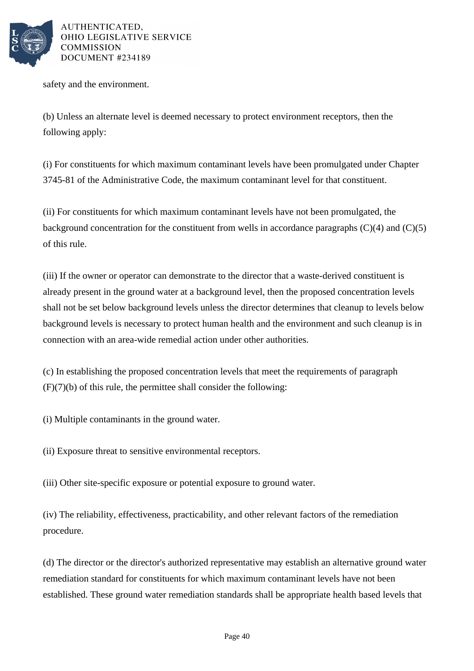

safety and the environment.

(b) Unless an alternate level is deemed necessary to protect environment receptors, then the following apply:

(i) For constituents for which maximum contaminant levels have been promulgated under Chapter 3745-81 of the Administrative Code, the maximum contaminant level for that constituent.

(ii) For constituents for which maximum contaminant levels have not been promulgated, the background concentration for the constituent from wells in accordance paragraphs  $(C)(4)$  and  $(C)(5)$ of this rule.

(iii) If the owner or operator can demonstrate to the director that a waste-derived constituent is already present in the ground water at a background level, then the proposed concentration levels shall not be set below background levels unless the director determines that cleanup to levels below background levels is necessary to protect human health and the environment and such cleanup is in connection with an area-wide remedial action under other authorities.

(c) In establishing the proposed concentration levels that meet the requirements of paragraph (F)(7)(b) of this rule, the permittee shall consider the following:

(i) Multiple contaminants in the ground water.

(ii) Exposure threat to sensitive environmental receptors.

(iii) Other site-specific exposure or potential exposure to ground water.

(iv) The reliability, effectiveness, practicability, and other relevant factors of the remediation procedure.

(d) The director or the director's authorized representative may establish an alternative ground water remediation standard for constituents for which maximum contaminant levels have not been established. These ground water remediation standards shall be appropriate health based levels that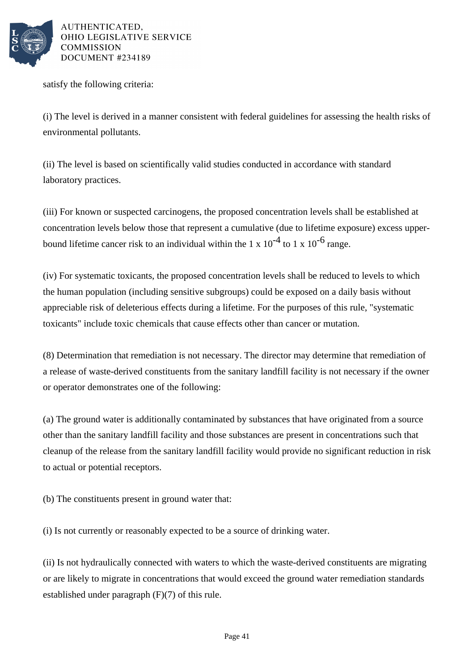

satisfy the following criteria:

(i) The level is derived in a manner consistent with federal guidelines for assessing the health risks of environmental pollutants.

(ii) The level is based on scientifically valid studies conducted in accordance with standard laboratory practices.

(iii) For known or suspected carcinogens, the proposed concentration levels shall be established at concentration levels below those that represent a cumulative (due to lifetime exposure) excess upperbound lifetime cancer risk to an individual within the 1 x  $10^{-4}$  to 1 x  $10^{-6}$  range.

(iv) For systematic toxicants, the proposed concentration levels shall be reduced to levels to which the human population (including sensitive subgroups) could be exposed on a daily basis without appreciable risk of deleterious effects during a lifetime. For the purposes of this rule, "systematic toxicants" include toxic chemicals that cause effects other than cancer or mutation.

(8) Determination that remediation is not necessary. The director may determine that remediation of a release of waste-derived constituents from the sanitary landfill facility is not necessary if the owner or operator demonstrates one of the following:

(a) The ground water is additionally contaminated by substances that have originated from a source other than the sanitary landfill facility and those substances are present in concentrations such that cleanup of the release from the sanitary landfill facility would provide no significant reduction in risk to actual or potential receptors.

(b) The constituents present in ground water that:

(i) Is not currently or reasonably expected to be a source of drinking water.

(ii) Is not hydraulically connected with waters to which the waste-derived constituents are migrating or are likely to migrate in concentrations that would exceed the ground water remediation standards established under paragraph (F)(7) of this rule.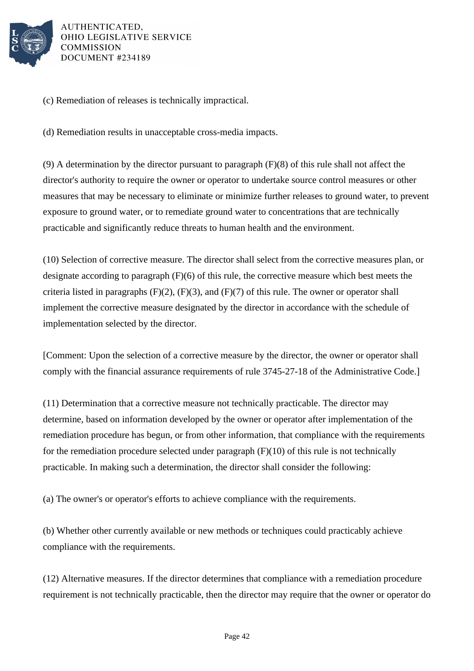

(c) Remediation of releases is technically impractical.

(d) Remediation results in unacceptable cross-media impacts.

(9) A determination by the director pursuant to paragraph (F)(8) of this rule shall not affect the director's authority to require the owner or operator to undertake source control measures or other measures that may be necessary to eliminate or minimize further releases to ground water, to prevent exposure to ground water, or to remediate ground water to concentrations that are technically practicable and significantly reduce threats to human health and the environment.

(10) Selection of corrective measure. The director shall select from the corrective measures plan, or designate according to paragraph (F)(6) of this rule, the corrective measure which best meets the criteria listed in paragraphs (F)(2), (F)(3), and (F)(7) of this rule. The owner or operator shall implement the corrective measure designated by the director in accordance with the schedule of implementation selected by the director.

[Comment: Upon the selection of a corrective measure by the director, the owner or operator shall comply with the financial assurance requirements of rule 3745-27-18 of the Administrative Code.]

(11) Determination that a corrective measure not technically practicable. The director may determine, based on information developed by the owner or operator after implementation of the remediation procedure has begun, or from other information, that compliance with the requirements for the remediation procedure selected under paragraph  $(F)(10)$  of this rule is not technically practicable. In making such a determination, the director shall consider the following:

(a) The owner's or operator's efforts to achieve compliance with the requirements.

(b) Whether other currently available or new methods or techniques could practicably achieve compliance with the requirements.

(12) Alternative measures. If the director determines that compliance with a remediation procedure requirement is not technically practicable, then the director may require that the owner or operator do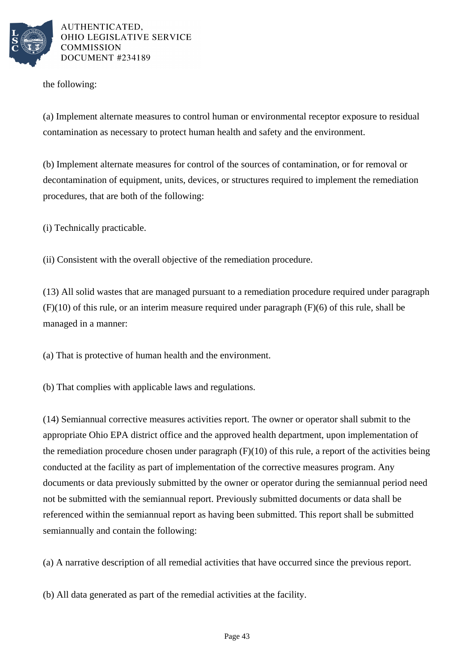

the following:

(a) Implement alternate measures to control human or environmental receptor exposure to residual contamination as necessary to protect human health and safety and the environment.

(b) Implement alternate measures for control of the sources of contamination, or for removal or decontamination of equipment, units, devices, or structures required to implement the remediation procedures, that are both of the following:

(i) Technically practicable.

(ii) Consistent with the overall objective of the remediation procedure.

(13) All solid wastes that are managed pursuant to a remediation procedure required under paragraph (F)(10) of this rule, or an interim measure required under paragraph (F)(6) of this rule, shall be managed in a manner:

(a) That is protective of human health and the environment.

(b) That complies with applicable laws and regulations.

(14) Semiannual corrective measures activities report. The owner or operator shall submit to the appropriate Ohio EPA district office and the approved health department, upon implementation of the remediation procedure chosen under paragraph  $(F)(10)$  of this rule, a report of the activities being conducted at the facility as part of implementation of the corrective measures program. Any documents or data previously submitted by the owner or operator during the semiannual period need not be submitted with the semiannual report. Previously submitted documents or data shall be referenced within the semiannual report as having been submitted. This report shall be submitted semiannually and contain the following:

(a) A narrative description of all remedial activities that have occurred since the previous report.

(b) All data generated as part of the remedial activities at the facility.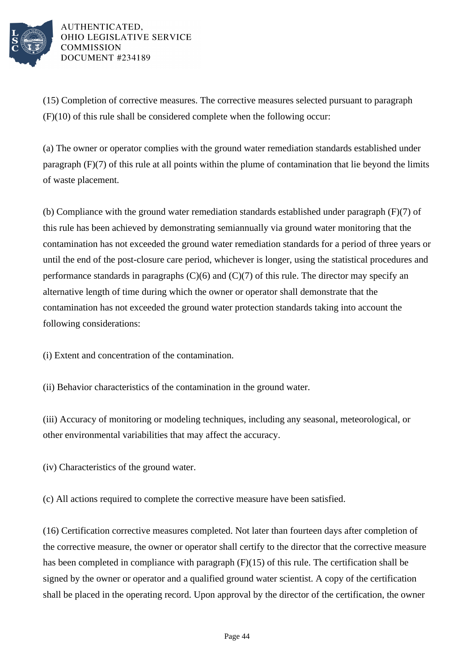

(15) Completion of corrective measures. The corrective measures selected pursuant to paragraph (F)(10) of this rule shall be considered complete when the following occur:

(a) The owner or operator complies with the ground water remediation standards established under paragraph (F)(7) of this rule at all points within the plume of contamination that lie beyond the limits of waste placement.

(b) Compliance with the ground water remediation standards established under paragraph (F)(7) of this rule has been achieved by demonstrating semiannually via ground water monitoring that the contamination has not exceeded the ground water remediation standards for a period of three years or until the end of the post-closure care period, whichever is longer, using the statistical procedures and performance standards in paragraphs  $(C)(6)$  and  $(C)(7)$  of this rule. The director may specify an alternative length of time during which the owner or operator shall demonstrate that the contamination has not exceeded the ground water protection standards taking into account the following considerations:

(i) Extent and concentration of the contamination.

(ii) Behavior characteristics of the contamination in the ground water.

(iii) Accuracy of monitoring or modeling techniques, including any seasonal, meteorological, or other environmental variabilities that may affect the accuracy.

(iv) Characteristics of the ground water.

(c) All actions required to complete the corrective measure have been satisfied.

(16) Certification corrective measures completed. Not later than fourteen days after completion of the corrective measure, the owner or operator shall certify to the director that the corrective measure has been completed in compliance with paragraph (F)(15) of this rule. The certification shall be signed by the owner or operator and a qualified ground water scientist. A copy of the certification shall be placed in the operating record. Upon approval by the director of the certification, the owner